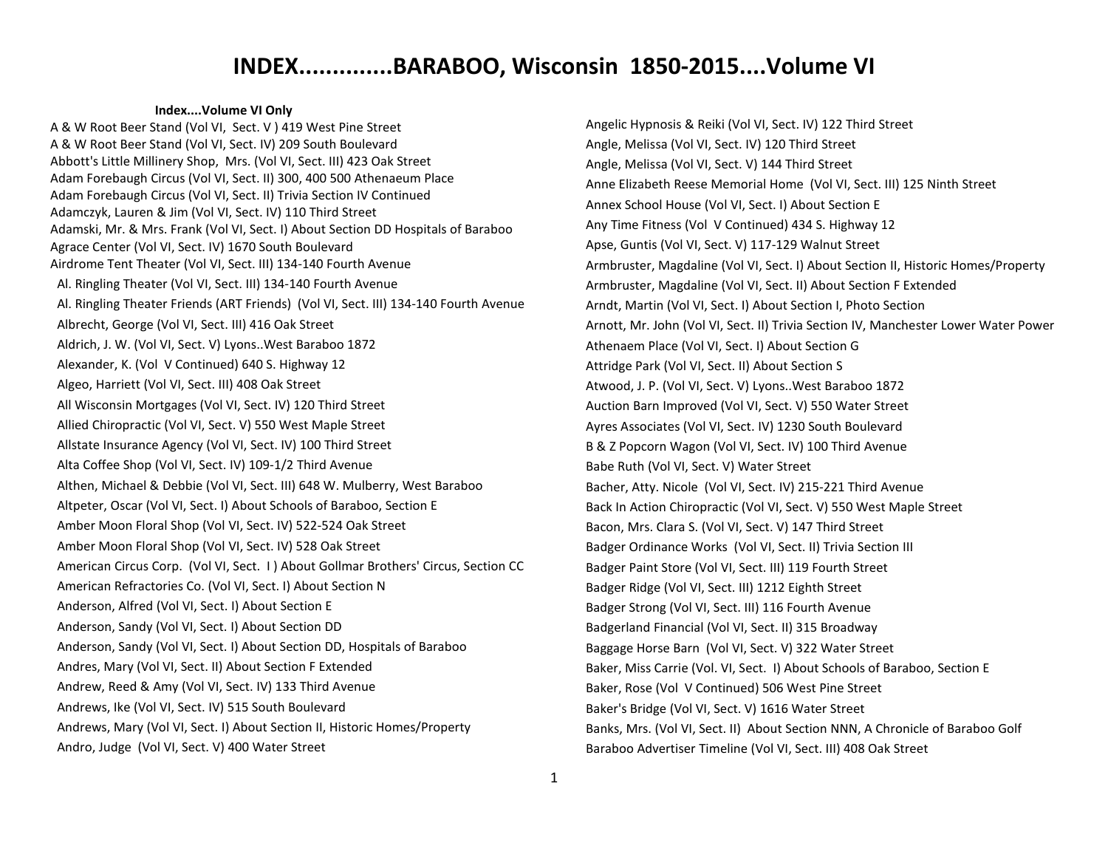#### **Index....Volume VI Only**

A & W Root Beer Stand (Vol VI, Sect. V ) 419 West Pine Street A & W Root Beer Stand (Vol VI, Sect. IV) 209 South Boulevard Abbott's Little Millinery Shop, Mrs. (Vol VI, Sect. III) 423 Oak Street Adam Forebaugh Circus (Vol VI, Sect. II) 300, 400 500 Athenaeum Place Adam Forebaugh Circus (Vol VI, Sect. II) Trivia Section IV Continued Adamczyk, Lauren & Jim (Vol VI, Sect. IV) 110 Third Street Adamski, Mr. & Mrs. Frank (Vol VI, Sect. I) About Section DD Hospitals of Baraboo Agrace Center (Vol VI, Sect. IV) 1670 South Boulevard Airdrome Tent Theater (Vol VI, Sect. III) 134-140 Fourth Avenue Al. Ringling Theater (Vol VI, Sect. III) 134-140 Fourth Avenue Al. Ringling Theater Friends (ART Friends) (Vol VI, Sect. III) 134-140 Fourth Avenue Albrecht, George (Vol VI, Sect. III) 416 Oak Street Aldrich, J. W. (Vol VI, Sect. V) Lyons..West Baraboo 1872 Alexander, K. (Vol V Continued) 640 S. Highway 12 Algeo, Harriett (Vol VI, Sect. III) 408 Oak Street All Wisconsin Mortgages (Vol VI, Sect. IV) 120 Third Street Allied Chiropractic (Vol VI, Sect. V) 550 West Maple Street Allstate Insurance Agency (Vol VI, Sect. IV) 100 Third Street Alta Coffee Shop (Vol VI, Sect. IV) 109-1/2 Third Avenue Althen, Michael & Debbie (Vol VI, Sect. III) 648 W. Mulberry, West Baraboo Altpeter, Oscar (Vol VI, Sect. I) About Schools of Baraboo, Section E Amber Moon Floral Shop (Vol VI, Sect. IV) 522-524 Oak Street Amber Moon Floral Shop (Vol VI, Sect. IV) 528 Oak Street American Circus Corp. (Vol VI, Sect. I ) About Gollmar Brothers' Circus, Section CC American Refractories Co. (Vol VI, Sect. I) About Section N Anderson, Alfred (Vol VI, Sect. I) About Section E Anderson, Sandy (Vol VI, Sect. I) About Section DD Anderson, Sandy (Vol VI, Sect. I) About Section DD, Hospitals of Baraboo Andres, Mary (Vol VI, Sect. II) About Section F Extended Andrew, Reed & Amy (Vol VI, Sect. IV) 133 Third Avenue Andrews, Ike (Vol VI, Sect. IV) 515 South Boulevard Andrews, Mary (Vol VI, Sect. I) About Section II, Historic Homes/Property Andro, Judge (Vol VI, Sect. V) 400 Water Street

Angelic Hypnosis & Reiki (Vol VI, Sect. IV) 122 Third Street Angle, Melissa (Vol VI, Sect. IV) 120 Third Street Angle, Melissa (Vol VI, Sect. V) 144 Third Street Anne Elizabeth Reese Memorial Home (Vol VI, Sect. III) 125 Ninth Street Annex School House (Vol VI, Sect. I) About Section E Any Time Fitness (Vol V Continued) 434 S. Highway 12 Apse, Guntis (Vol VI, Sect. V) 117-129 Walnut Street Armbruster, Magdaline (Vol VI, Sect. I) About Section II, Historic Homes/Property Armbruster, Magdaline (Vol VI, Sect. II) About Section F Extended Arndt, Martin (Vol VI, Sect. I) About Section I, Photo Section Arnott, Mr. John (Vol VI, Sect. II) Trivia Section IV, Manchester Lower Water Power Athenaem Place (Vol VI, Sect. I) About Section G Attridge Park (Vol VI, Sect. II) About Section S Atwood, J. P. (Vol VI, Sect. V) Lyons..West Baraboo 1872 Auction Barn Improved (Vol VI, Sect. V) 550 Water Street Ayres Associates (Vol VI, Sect. IV) 1230 South Boulevard B & Z Popcorn Wagon (Vol VI, Sect. IV) 100 Third Avenue Babe Ruth (Vol VI, Sect. V) Water Street Bacher, Atty. Nicole (Vol VI, Sect. IV) 215-221 Third Avenue Back In Action Chiropractic (Vol VI, Sect. V) 550 West Maple Street Bacon, Mrs. Clara S. (Vol VI, Sect. V) 147 Third Street Badger Ordinance Works (Vol VI, Sect. II) Trivia Section III Badger Paint Store (Vol VI, Sect. III) 119 Fourth Street Badger Ridge (Vol VI, Sect. III) 1212 Eighth Street Badger Strong (Vol VI, Sect. III) 116 Fourth Avenue Badgerland Financial (Vol VI, Sect. II) 315 Broadway Baggage Horse Barn (Vol VI, Sect. V) 322 Water Street Baker, Miss Carrie (Vol. VI, Sect. I) About Schools of Baraboo, Section E Baker, Rose (Vol V Continued) 506 West Pine Street Baker's Bridge (Vol VI, Sect. V) 1616 Water Street Banks, Mrs. (Vol VI, Sect. II) About Section NNN, A Chronicle of Baraboo Golf Baraboo Advertiser Timeline (Vol VI, Sect. III) 408 Oak Street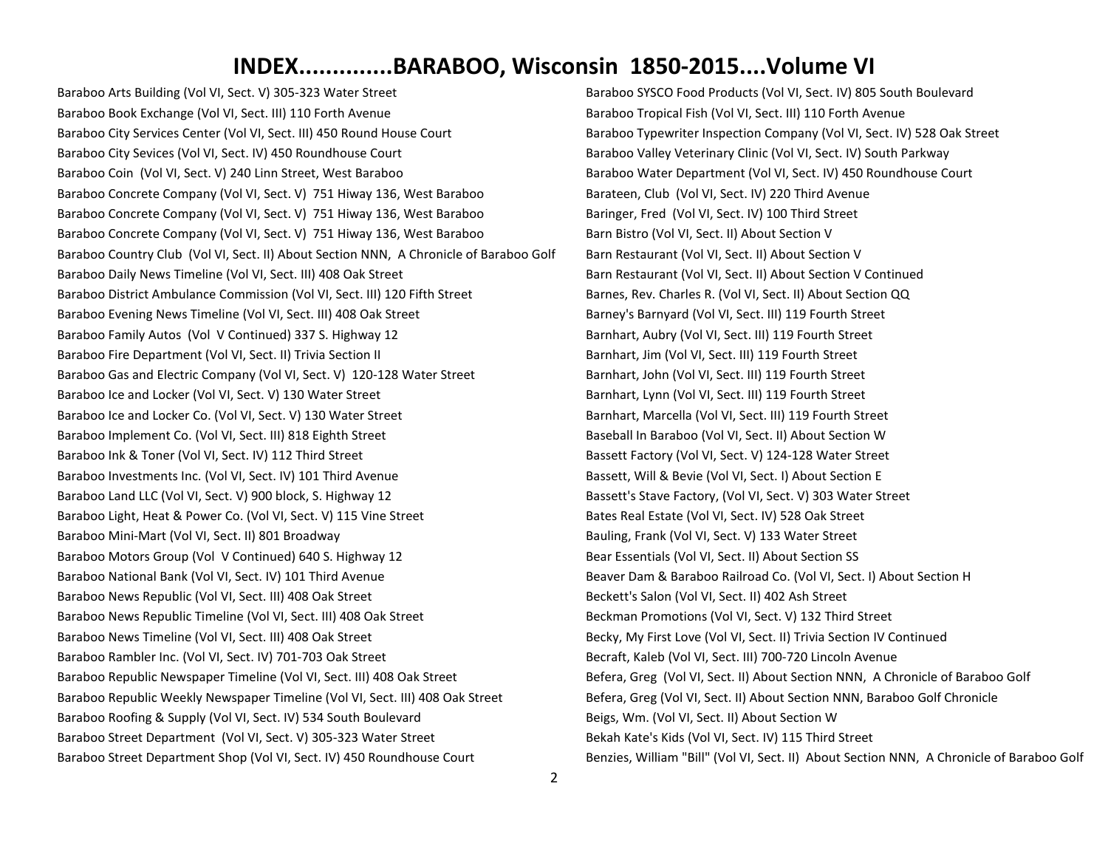Baraboo Arts Building (Vol VI, Sect. V) 305-323 Water Street Baraboo Book Exchange (Vol VI, Sect. III) 110 Forth Avenue Baraboo City Services Center (Vol VI, Sect. III) 450 Round House Court Baraboo City Sevices (Vol VI, Sect. IV) 450 Roundhouse Court Baraboo Coin (Vol VI, Sect. V) 240 Linn Street, West Baraboo Baraboo Concrete Company (Vol VI, Sect. V) 751 Hiway 136, West Baraboo Baraboo Concrete Company (Vol VI, Sect. V) 751 Hiway 136, West Baraboo Baraboo Concrete Company (Vol VI, Sect. V) 751 Hiway 136, West Baraboo Baraboo Country Club (Vol VI, Sect. II) About Section NNN, A Chronicle of Baraboo Golf Baraboo Daily News Timeline (Vol VI, Sect. III) 408 Oak Street Baraboo District Ambulance Commission (Vol VI, Sect. III) 120 Fifth Street Baraboo Evening News Timeline (Vol VI, Sect. III) 408 Oak Street Baraboo Family Autos (Vol V Continued) 337 S. Highway 12 Baraboo Fire Department (Vol VI, Sect. II) Trivia Section II Baraboo Gas and Electric Company (Vol VI, Sect. V) 120-128 Water Street Baraboo Ice and Locker (Vol VI, Sect. V) 130 Water Street Baraboo Ice and Locker Co. (Vol VI, Sect. V) 130 Water Street Baraboo Implement Co. (Vol VI, Sect. III) 818 Eighth Street Baraboo Ink & Toner (Vol VI, Sect. IV) 112 Third Street Baraboo Investments Inc. (Vol VI, Sect. IV) 101 Third Avenue Baraboo Land LLC (Vol VI, Sect. V) 900 block, S. Highway 12 Baraboo Light, Heat & Power Co. (Vol VI, Sect. V) 115 Vine Street Baraboo Mini-Mart (Vol VI, Sect. II) 801 Broadway Baraboo Motors Group (Vol V Continued) 640 S. Highway 12 Baraboo National Bank (Vol VI, Sect. IV) 101 Third Avenue Baraboo News Republic (Vol VI, Sect. III) 408 Oak Street Baraboo News Republic Timeline (Vol VI, Sect. III) 408 Oak Street Baraboo News Timeline (Vol VI, Sect. III) 408 Oak Street Baraboo Rambler Inc. (Vol VI, Sect. IV) 701-703 Oak Street Baraboo Republic Newspaper Timeline (Vol VI, Sect. III) 408 Oak Street Baraboo Republic Weekly Newspaper Timeline (Vol VI, Sect. III) 408 Oak Street Baraboo Roofing & Supply (Vol VI, Sect. IV) 534 South Boulevard Baraboo Street Department (Vol VI, Sect. V) 305-323 Water Street Baraboo Street Department Shop (Vol VI, Sect. IV) 450 Roundhouse Court

Baraboo SYSCO Food Products (Vol VI, Sect. IV) 805 South Boulevard Baraboo Tropical Fish (Vol VI, Sect. III) 110 Forth Avenue Baraboo Typewriter Inspection Company (Vol VI, Sect. IV) 528 Oak Street Baraboo Valley Veterinary Clinic (Vol VI, Sect. IV) South Parkway Baraboo Water Department (Vol VI, Sect. IV) 450 Roundhouse Court Barateen, Club (Vol VI, Sect. IV) 220 Third Avenue Baringer, Fred (Vol VI, Sect. IV) 100 Third Street Barn Bistro (Vol VI, Sect. II) About Section V Barn Restaurant (Vol VI, Sect. II) About Section V Barn Restaurant (Vol VI, Sect. II) About Section V Continued Barnes, Rev. Charles R. (Vol VI, Sect. II) About Section QQ Barney's Barnyard (Vol VI, Sect. III) 119 Fourth Street Barnhart, Aubry (Vol VI, Sect. III) 119 Fourth Street Barnhart, Jim (Vol VI, Sect. III) 119 Fourth Street Barnhart, John (Vol VI, Sect. III) 119 Fourth Street Barnhart, Lynn (Vol VI, Sect. III) 119 Fourth Street Barnhart, Marcella (Vol VI, Sect. III) 119 Fourth Street Baseball In Baraboo (Vol VI, Sect. II) About Section W Bassett Factory (Vol VI, Sect. V) 124-128 Water Street Bassett, Will & Bevie (Vol VI, Sect. I) About Section E Bassett's Stave Factory, (Vol VI, Sect. V) 303 Water Street Bates Real Estate (Vol VI, Sect. IV) 528 Oak Street Bauling, Frank (Vol VI, Sect. V) 133 Water Street Bear Essentials (Vol VI, Sect. II) About Section SS Beaver Dam & Baraboo Railroad Co. (Vol VI, Sect. I) About Section H Beckett's Salon (Vol VI, Sect. II) 402 Ash Street Beckman Promotions (Vol VI, Sect. V) 132 Third Street Becky, My First Love (Vol VI, Sect. II) Trivia Section IV Continued Becraft, Kaleb (Vol VI, Sect. III) 700-720 Lincoln Avenue Befera, Greg (Vol VI, Sect. II) About Section NNN, A Chronicle of Baraboo Golf Befera, Greg (Vol VI, Sect. II) About Section NNN, Baraboo Golf Chronicle Beigs, Wm. (Vol VI, Sect. II) About Section W Bekah Kate's Kids (Vol VI, Sect. IV) 115 Third Street Benzies, William "Bill" (Vol VI, Sect. II) About Section NNN, A Chronicle of Baraboo Golf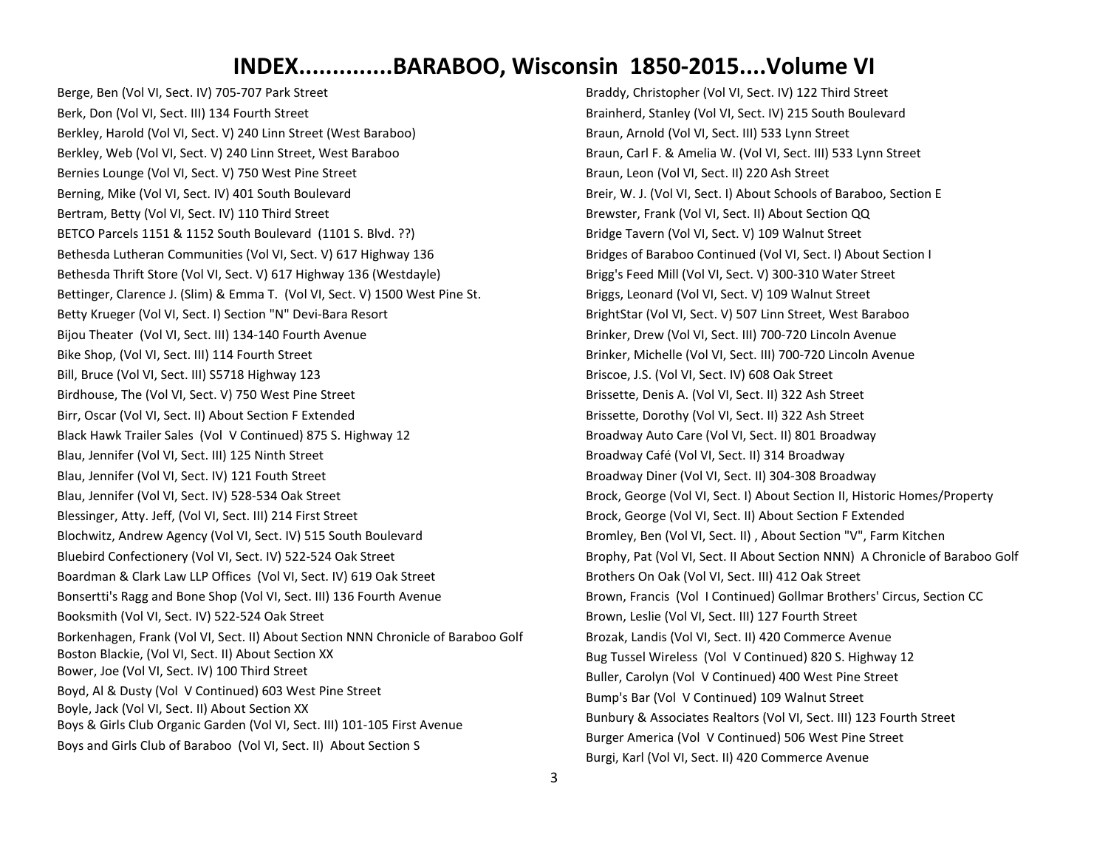Berge, Ben (Vol VI, Sect. IV) 705-707 Park Street Berk, Don (Vol VI, Sect. III) 134 Fourth Street Berkley, Harold (Vol VI, Sect. V) 240 Linn Street (West Baraboo) Berkley, Web (Vol VI, Sect. V) 240 Linn Street, West Baraboo Bernies Lounge (Vol VI, Sect. V) 750 West Pine Street Berning, Mike (Vol VI, Sect. IV) 401 South Boulevard Bertram, Betty (Vol VI, Sect. IV) 110 Third Street BETCO Parcels 1151 & 1152 South Boulevard (1101 S. Blvd. ??) Bethesda Lutheran Communities (Vol VI, Sect. V) 617 Highway 136 Bethesda Thrift Store (Vol VI, Sect. V) 617 Highway 136 (Westdayle) Bettinger, Clarence J. (Slim) & Emma T. (Vol VI, Sect. V) 1500 West Pine St. Betty Krueger (Vol VI, Sect. I) Section "N" Devi-Bara Resort Bijou Theater (Vol VI, Sect. III) 134-140 Fourth Avenue Bike Shop, (Vol VI, Sect. III) 114 Fourth Street Bill, Bruce (Vol VI, Sect. III) S5718 Highway 123 Birdhouse, The (Vol VI, Sect. V) 750 West Pine Street Birr, Oscar (Vol VI, Sect. II) About Section F Extended Black Hawk Trailer Sales (Vol V Continued) 875 S. Highway 12 Blau, Jennifer (Vol VI, Sect. III) 125 Ninth Street Blau, Jennifer (Vol VI, Sect. IV) 121 Fouth Street Blau, Jennifer (Vol VI, Sect. IV) 528-534 Oak Street Blessinger, Atty. Jeff, (Vol VI, Sect. III) 214 First Street Blochwitz, Andrew Agency (Vol VI, Sect. IV) 515 South Boulevard Bluebird Confectionery (Vol VI, Sect. IV) 522-524 Oak Street Boardman & Clark Law LLP Offices (Vol VI, Sect. IV) 619 Oak Street Bonsertti's Ragg and Bone Shop (Vol VI, Sect. III) 136 Fourth Avenue Booksmith (Vol VI, Sect. IV) 522-524 Oak Street Borkenhagen, Frank (Vol VI, Sect. II) About Section NNN Chronicle of Baraboo Golf Boston Blackie, (Vol VI, Sect. II) About Section XX Bower, Joe (Vol VI, Sect. IV) 100 Third Street Boyd, Al & Dusty (Vol V Continued) 603 West Pine Street Boyle, Jack (Vol VI, Sect. II) About Section XX Boys & Girls Club Organic Garden (Vol VI, Sect. III) 101-105 First Avenue Boys and Girls Club of Baraboo (Vol VI, Sect. II) About Section S

Braddy, Christopher (Vol VI, Sect. IV) 122 Third Street Brainherd, Stanley (Vol VI, Sect. IV) 215 South Boulevard Braun, Arnold (Vol VI, Sect. III) 533 Lynn Street Braun, Carl F. & Amelia W. (Vol VI, Sect. III) 533 Lynn Street Braun, Leon (Vol VI, Sect. II) 220 Ash Street Breir, W. J. (Vol VI, Sect. I) About Schools of Baraboo, Section E Brewster, Frank (Vol VI, Sect. II) About Section QQ Bridge Tavern (Vol VI, Sect. V) 109 Walnut Street Bridges of Baraboo Continued (Vol VI, Sect. I) About Section I Brigg's Feed Mill (Vol VI, Sect. V) 300-310 Water Street Briggs, Leonard (Vol VI, Sect. V) 109 Walnut Street BrightStar (Vol VI, Sect. V) 507 Linn Street, West Baraboo Brinker, Drew (Vol VI, Sect. III) 700-720 Lincoln Avenue Brinker, Michelle (Vol VI, Sect. III) 700-720 Lincoln Avenue Briscoe, J.S. (Vol VI, Sect. IV) 608 Oak Street Brissette, Denis A. (Vol VI, Sect. II) 322 Ash Street Brissette, Dorothy (Vol VI, Sect. II) 322 Ash Street Broadway Auto Care (Vol VI, Sect. II) 801 Broadway Broadway Café (Vol VI, Sect. II) 314 Broadway Broadway Diner (Vol VI, Sect. II) 304-308 Broadway Brock, George (Vol VI, Sect. I) About Section II, Historic Homes/Property Brock, George (Vol VI, Sect. II) About Section F Extended Bromley, Ben (Vol VI, Sect. II) , About Section "V", Farm Kitchen Brophy, Pat (Vol VI, Sect. II About Section NNN) A Chronicle of Baraboo Golf Brothers On Oak (Vol VI, Sect. III) 412 Oak Street Brown, Francis (Vol I Continued) Gollmar Brothers' Circus, Section CC Brown, Leslie (Vol VI, Sect. III) 127 Fourth Street Brozak, Landis (Vol VI, Sect. II) 420 Commerce Avenue Bug Tussel Wireless (Vol V Continued) 820 S. Highway 12 Buller, Carolyn (Vol V Continued) 400 West Pine Street Bump's Bar (Vol V Continued) 109 Walnut Street Bunbury & Associates Realtors (Vol VI, Sect. III) 123 Fourth Street Burger America (Vol V Continued) 506 West Pine Street Burgi, Karl (Vol VI, Sect. II) 420 Commerce Avenue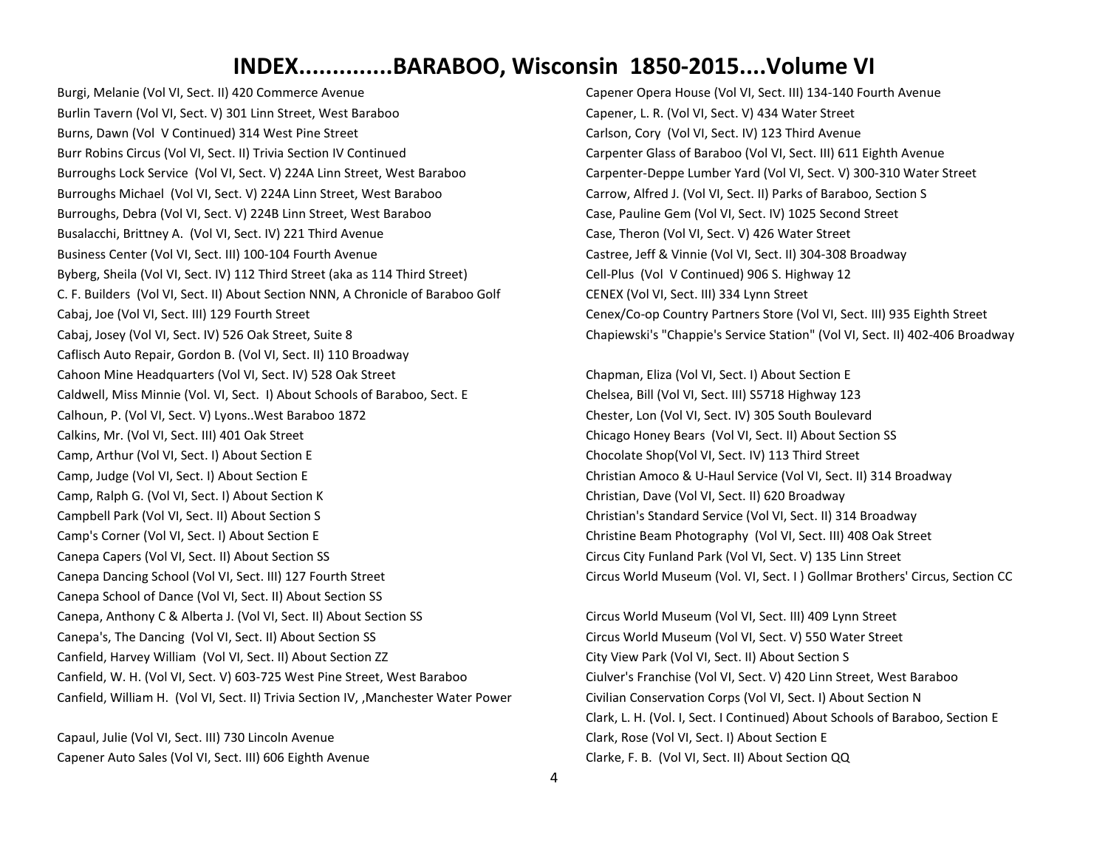Burgi, Melanie (Vol VI, Sect. II) 420 Commerce Avenue Burlin Tavern (Vol VI, Sect. V) 301 Linn Street, West Baraboo Burns, Dawn (Vol V Continued) 314 West Pine Street Burr Robins Circus (Vol VI, Sect. II) Trivia Section IV Continued Burroughs Lock Service (Vol VI, Sect. V) 224A Linn Street, West Baraboo Burroughs Michael (Vol VI, Sect. V) 224A Linn Street, West Baraboo Burroughs, Debra (Vol VI, Sect. V) 224B Linn Street, West Baraboo Busalacchi, Brittney A. (Vol VI, Sect. IV) 221 Third Avenue Business Center (Vol VI, Sect. III) 100-104 Fourth Avenue Byberg, Sheila (Vol VI, Sect. IV) 112 Third Street (aka as 114 Third Street) C. F. Builders (Vol VI, Sect. II) About Section NNN, A Chronicle of Baraboo Golf Cabaj, Joe (Vol VI, Sect. III) 129 Fourth Street Cabaj, Josey (Vol VI, Sect. IV) 526 Oak Street, Suite 8 Caflisch Auto Repair, Gordon B. (Vol VI, Sect. II) 110 Broadway Cahoon Mine Headquarters (Vol VI, Sect. IV) 528 Oak Street Caldwell, Miss Minnie (Vol. VI, Sect. I) About Schools of Baraboo, Sect. E Calhoun, P. (Vol VI, Sect. V) Lyons..West Baraboo 1872 Calkins, Mr. (Vol VI, Sect. III) 401 Oak Street Camp, Arthur (Vol VI, Sect. I) About Section E Camp, Judge (Vol VI, Sect. I) About Section E Camp, Ralph G. (Vol VI, Sect. I) About Section K Campbell Park (Vol VI, Sect. II) About Section S Camp's Corner (Vol VI, Sect. I) About Section E Canepa Capers (Vol VI, Sect. II) About Section SS Canepa Dancing School (Vol VI, Sect. III) 127 Fourth Street Canepa School of Dance (Vol VI, Sect. II) About Section SS Canepa, Anthony C & Alberta J. (Vol VI, Sect. II) About Section SS Canepa's, The Dancing (Vol VI, Sect. II) About Section SS Canfield, Harvey William (Vol VI, Sect. II) About Section ZZ Canfield, W. H. (Vol VI, Sect. V) 603-725 West Pine Street, West Baraboo Canfield, William H. (Vol VI, Sect. II) Trivia Section IV, ,Manchester Water Power

Capaul, Julie (Vol VI, Sect. III) 730 Lincoln Avenue Capener Auto Sales (Vol VI, Sect. III) 606 Eighth Avenue Capener Opera House (Vol VI, Sect. III) 134-140 Fourth Avenue Capener, L. R. (Vol VI, Sect. V) 434 Water Street Carlson, Cory (Vol VI, Sect. IV) 123 Third Avenue Carpenter Glass of Baraboo (Vol VI, Sect. III) 611 Eighth Avenue Carpenter-Deppe Lumber Yard (Vol VI, Sect. V) 300-310 Water Street Carrow, Alfred J. (Vol VI, Sect. II) Parks of Baraboo, Section S Case, Pauline Gem (Vol VI, Sect. IV) 1025 Second Street Case, Theron (Vol VI, Sect. V) 426 Water Street Castree, Jeff & Vinnie (Vol VI, Sect. II) 304-308 Broadway Cell-Plus (Vol V Continued) 906 S. Highway 12 CENEX (Vol VI, Sect. III) 334 Lynn Street Cenex/Co-op Country Partners Store (Vol VI, Sect. III) 935 Eighth Street Chapiewski's "Chappie's Service Station" (Vol VI, Sect. II) 402-406 Broadway

Chapman, Eliza (Vol VI, Sect. I) About Section E Chelsea, Bill (Vol VI, Sect. III) S5718 Highway 123 Chester, Lon (Vol VI, Sect. IV) 305 South Boulevard Chicago Honey Bears (Vol VI, Sect. II) About Section SS Chocolate Shop(Vol VI, Sect. IV) 113 Third Street Christian Amoco & U-Haul Service (Vol VI, Sect. II) 314 Broadway Christian, Dave (Vol VI, Sect. II) 620 Broadway Christian's Standard Service (Vol VI, Sect. II) 314 Broadway Christine Beam Photography (Vol VI, Sect. III) 408 Oak Street Circus City Funland Park (Vol VI, Sect. V) 135 Linn Street Circus World Museum (Vol. VI, Sect. I ) Gollmar Brothers' Circus, Section CC

Circus World Museum (Vol VI, Sect. III) 409 Lynn Street Circus World Museum (Vol VI, Sect. V) 550 Water Street City View Park (Vol VI, Sect. II) About Section S Ciulver's Franchise (Vol VI, Sect. V) 420 Linn Street, West Baraboo Civilian Conservation Corps (Vol VI, Sect. I) About Section N Clark, L. H. (Vol. I, Sect. I Continued) About Schools of Baraboo, Section E Clark, Rose (Vol VI, Sect. I) About Section E Clarke, F. B. (Vol VI, Sect. II) About Section QQ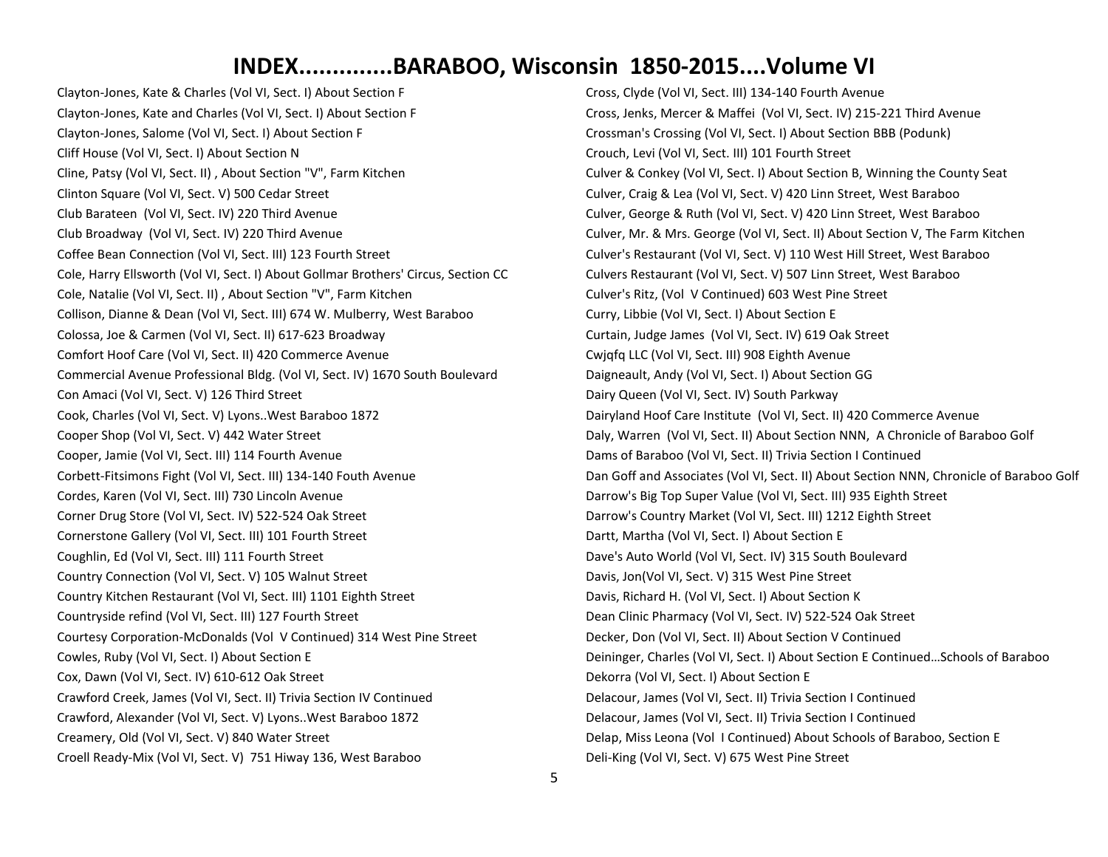Clayton-Jones, Kate & Charles (Vol VI, Sect. I) About Section F Clayton-Jones, Kate and Charles (Vol VI, Sect. I) About Section F Clayton-Jones, Salome (Vol VI, Sect. I) About Section F Cliff House (Vol VI, Sect. I) About Section N Cline, Patsy (Vol VI, Sect. II) , About Section "V", Farm Kitchen Clinton Square (Vol VI, Sect. V) 500 Cedar Street Club Barateen (Vol VI, Sect. IV) 220 Third Avenue Club Broadway (Vol VI, Sect. IV) 220 Third Avenue Coffee Bean Connection (Vol VI, Sect. III) 123 Fourth Street Cole, Harry Ellsworth (Vol VI, Sect. I) About Gollmar Brothers' Circus, Section CC Cole, Natalie (Vol VI, Sect. II) , About Section "V", Farm Kitchen Collison, Dianne & Dean (Vol VI, Sect. III) 674 W. Mulberry, West Baraboo Colossa, Joe & Carmen (Vol VI, Sect. II) 617-623 Broadway Comfort Hoof Care (Vol VI, Sect. II) 420 Commerce Avenue Commercial Avenue Professional Bldg. (Vol VI, Sect. IV) 1670 South Boulevard Con Amaci (Vol VI, Sect. V) 126 Third Street Cook, Charles (Vol VI, Sect. V) Lyons..West Baraboo 1872 Cooper Shop (Vol VI, Sect. V) 442 Water Street Cooper, Jamie (Vol VI, Sect. III) 114 Fourth Avenue Corbett-Fitsimons Fight (Vol VI, Sect. III) 134-140 Fouth Avenue Cordes, Karen (Vol VI, Sect. III) 730 Lincoln Avenue Corner Drug Store (Vol VI, Sect. IV) 522-524 Oak Street Cornerstone Gallery (Vol VI, Sect. III) 101 Fourth Street Coughlin, Ed (Vol VI, Sect. III) 111 Fourth Street Country Connection (Vol VI, Sect. V) 105 Walnut Street Country Kitchen Restaurant (Vol VI, Sect. III) 1101 Eighth Street Countryside refind (Vol VI, Sect. III) 127 Fourth Street Courtesy Corporation-McDonalds (Vol V Continued) 314 West Pine Street Cowles, Ruby (Vol VI, Sect. I) About Section E Cox, Dawn (Vol VI, Sect. IV) 610-612 Oak Street Crawford Creek, James (Vol VI, Sect. II) Trivia Section IV Continued Crawford, Alexander (Vol VI, Sect. V) Lyons..West Baraboo 1872 Creamery, Old (Vol VI, Sect. V) 840 Water Street Croell Ready-Mix (Vol VI, Sect. V) 751 Hiway 136, West Baraboo

Cross, Clyde (Vol VI, Sect. III) 134-140 Fourth Avenue Cross, Jenks, Mercer & Maffei (Vol VI, Sect. IV) 215-221 Third Avenue Crossman's Crossing (Vol VI, Sect. I) About Section BBB (Podunk) Crouch, Levi (Vol VI, Sect. III) 101 Fourth Street Culver & Conkey (Vol VI, Sect. I) About Section B, Winning the County Seat Culver, Craig & Lea (Vol VI, Sect. V) 420 Linn Street, West Baraboo Culver, George & Ruth (Vol VI, Sect. V) 420 Linn Street, West Baraboo Culver, Mr. & Mrs. George (Vol VI, Sect. II) About Section V, The Farm Kitchen Culver's Restaurant (Vol VI, Sect. V) 110 West Hill Street, West Baraboo Culvers Restaurant (Vol VI, Sect. V) 507 Linn Street, West Baraboo Culver's Ritz, (Vol V Continued) 603 West Pine Street Curry, Libbie (Vol VI, Sect. I) About Section E Curtain, Judge James (Vol VI, Sect. IV) 619 Oak Street Cwjqfq LLC (Vol VI, Sect. III) 908 Eighth Avenue Daigneault, Andy (Vol VI, Sect. I) About Section GG Dairy Queen (Vol VI, Sect. IV) South Parkway Dairyland Hoof Care Institute (Vol VI, Sect. II) 420 Commerce Avenue Daly, Warren (Vol VI, Sect. II) About Section NNN, A Chronicle of Baraboo Golf Dams of Baraboo (Vol VI, Sect. II) Trivia Section I Continued Dan Goff and Associates (Vol VI, Sect. II) About Section NNN, Chronicle of Baraboo Golf Darrow's Big Top Super Value (Vol VI, Sect. III) 935 Eighth Street Darrow's Country Market (Vol VI, Sect. III) 1212 Eighth Street Dartt, Martha (Vol VI, Sect. I) About Section E Dave's Auto World (Vol VI, Sect. IV) 315 South Boulevard Davis, Jon(Vol VI, Sect. V) 315 West Pine Street Davis, Richard H. (Vol VI, Sect. I) About Section K Dean Clinic Pharmacy (Vol VI, Sect. IV) 522-524 Oak Street Decker, Don (Vol VI, Sect. II) About Section V Continued Deininger, Charles (Vol VI, Sect. I) About Section E Continued…Schools of Baraboo Dekorra (Vol VI, Sect. I) About Section E Delacour, James (Vol VI, Sect. II) Trivia Section I Continued Delacour, James (Vol VI, Sect. II) Trivia Section I Continued Delap, Miss Leona (Vol I Continued) About Schools of Baraboo, Section E Deli-King (Vol VI, Sect. V) 675 West Pine Street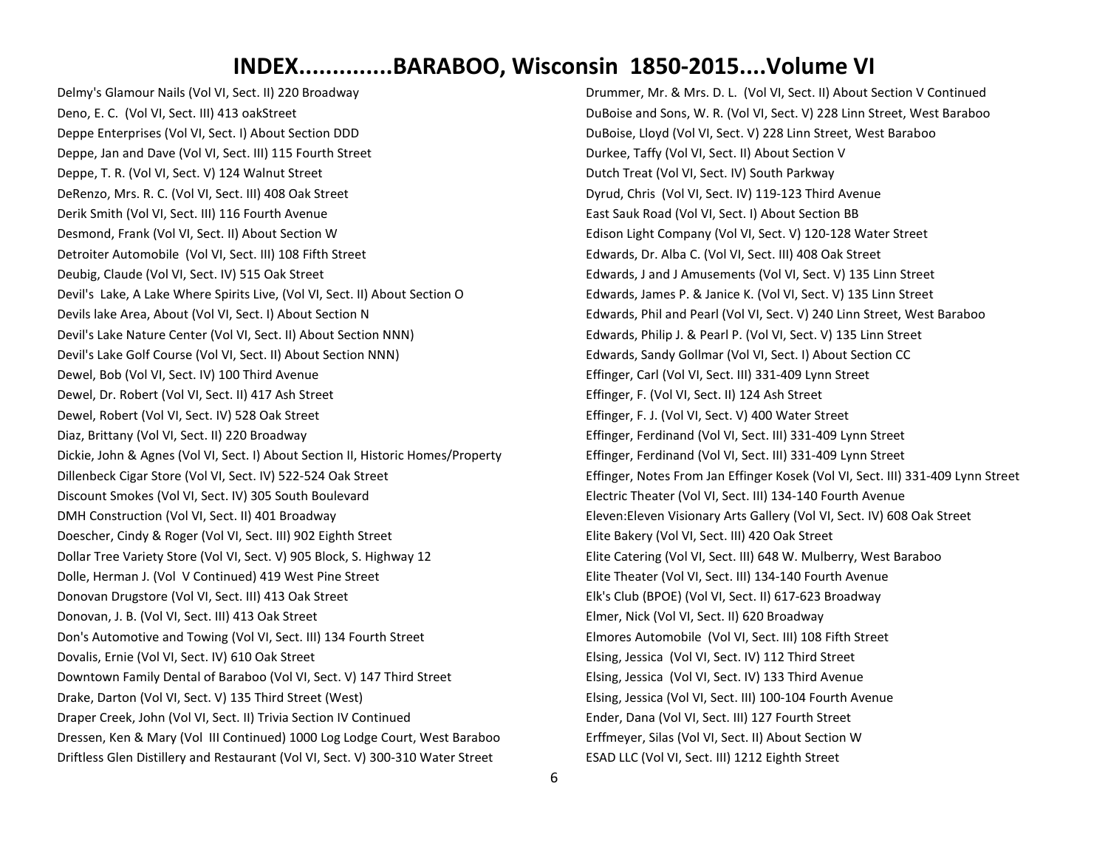Delmy's Glamour Nails (Vol VI, Sect. II) 220 Broadway Deno, E. C. (Vol VI, Sect. III) 413 oakStreet Deppe Enterprises (Vol VI, Sect. I) About Section DDD Deppe, Jan and Dave (Vol VI, Sect. III) 115 Fourth Street Deppe, T. R. (Vol VI, Sect. V) 124 Walnut Street DeRenzo, Mrs. R. C. (Vol VI, Sect. III) 408 Oak Street Derik Smith (Vol VI, Sect. III) 116 Fourth Avenue Desmond, Frank (Vol VI, Sect. II) About Section W Detroiter Automobile (Vol VI, Sect. III) 108 Fifth Street Deubig, Claude (Vol VI, Sect. IV) 515 Oak Street Devil's Lake, A Lake Where Spirits Live, (Vol VI, Sect. II) About Section O Devils lake Area, About (Vol VI, Sect. I) About Section N Devil's Lake Nature Center (Vol VI, Sect. II) About Section NNN) Devil's Lake Golf Course (Vol VI, Sect. II) About Section NNN) Dewel, Bob (Vol VI, Sect. IV) 100 Third Avenue Dewel, Dr. Robert (Vol VI, Sect. II) 417 Ash Street Dewel, Robert (Vol VI, Sect. IV) 528 Oak Street Diaz, Brittany (Vol VI, Sect. II) 220 Broadway Dickie, John & Agnes (Vol VI, Sect. I) About Section II, Historic Homes/Property Dillenbeck Cigar Store (Vol VI, Sect. IV) 522-524 Oak Street Discount Smokes (Vol VI, Sect. IV) 305 South Boulevard DMH Construction (Vol VI, Sect. II) 401 Broadway Doescher, Cindy & Roger (Vol VI, Sect. III) 902 Eighth Street Dollar Tree Variety Store (Vol VI, Sect. V) 905 Block, S. Highway 12 Dolle, Herman J. (Vol V Continued) 419 West Pine Street Donovan Drugstore (Vol VI, Sect. III) 413 Oak Street Donovan, J. B. (Vol VI, Sect. III) 413 Oak Street Don's Automotive and Towing (Vol VI, Sect. III) 134 Fourth Street Dovalis, Ernie (Vol VI, Sect. IV) 610 Oak Street Downtown Family Dental of Baraboo (Vol VI, Sect. V) 147 Third Street Drake, Darton (Vol VI, Sect. V) 135 Third Street (West) Draper Creek, John (Vol VI, Sect. II) Trivia Section IV Continued Dressen, Ken & Mary (Vol III Continued) 1000 Log Lodge Court, West Baraboo Driftless Glen Distillery and Restaurant (Vol VI, Sect. V) 300-310 Water Street

Drummer, Mr. & Mrs. D. L. (Vol VI, Sect. II) About Section V Continued DuBoise and Sons, W. R. (Vol VI, Sect. V) 228 Linn Street, West Baraboo DuBoise, Lloyd (Vol VI, Sect. V) 228 Linn Street, West Baraboo Durkee, Taffy (Vol VI, Sect. II) About Section V Dutch Treat (Vol VI, Sect. IV) South Parkway Dyrud, Chris (Vol VI, Sect. IV) 119-123 Third Avenue East Sauk Road (Vol VI, Sect. I) About Section BB Edison Light Company (Vol VI, Sect. V) 120-128 Water Street Edwards, Dr. Alba C. (Vol VI, Sect. III) 408 Oak Street Edwards, J and J Amusements (Vol VI, Sect. V) 135 Linn Street Edwards, James P. & Janice K. (Vol VI, Sect. V) 135 Linn Street Edwards, Phil and Pearl (Vol VI, Sect. V) 240 Linn Street, West Baraboo Edwards, Philip J. & Pearl P. (Vol VI, Sect. V) 135 Linn Street Edwards, Sandy Gollmar (Vol VI, Sect. I) About Section CC Effinger, Carl (Vol VI, Sect. III) 331-409 Lynn Street Effinger, F. (Vol VI, Sect. II) 124 Ash Street Effinger, F. J. (Vol VI, Sect. V) 400 Water Street Effinger, Ferdinand (Vol VI, Sect. III) 331-409 Lynn Street Effinger, Ferdinand (Vol VI, Sect. III) 331-409 Lynn Street Effinger, Notes From Jan Effinger Kosek (Vol VI, Sect. III) 331-409 Lynn Street Electric Theater (Vol VI, Sect. III) 134-140 Fourth Avenue Eleven:Eleven Visionary Arts Gallery (Vol VI, Sect. IV) 608 Oak Street Elite Bakery (Vol VI, Sect. III) 420 Oak Street Elite Catering (Vol VI, Sect. III) 648 W. Mulberry, West Baraboo Elite Theater (Vol VI, Sect. III) 134-140 Fourth Avenue Elk's Club (BPOE) (Vol VI, Sect. II) 617-623 Broadway Elmer, Nick (Vol VI, Sect. II) 620 Broadway Elmores Automobile (Vol VI, Sect. III) 108 Fifth Street Elsing, Jessica (Vol VI, Sect. IV) 112 Third Street Elsing, Jessica (Vol VI, Sect. IV) 133 Third Avenue Elsing, Jessica (Vol VI, Sect. III) 100-104 Fourth Avenue Ender, Dana (Vol VI, Sect. III) 127 Fourth Street Erffmeyer, Silas (Vol VI, Sect. II) About Section W ESAD LLC (Vol VI, Sect. III) 1212 Eighth Street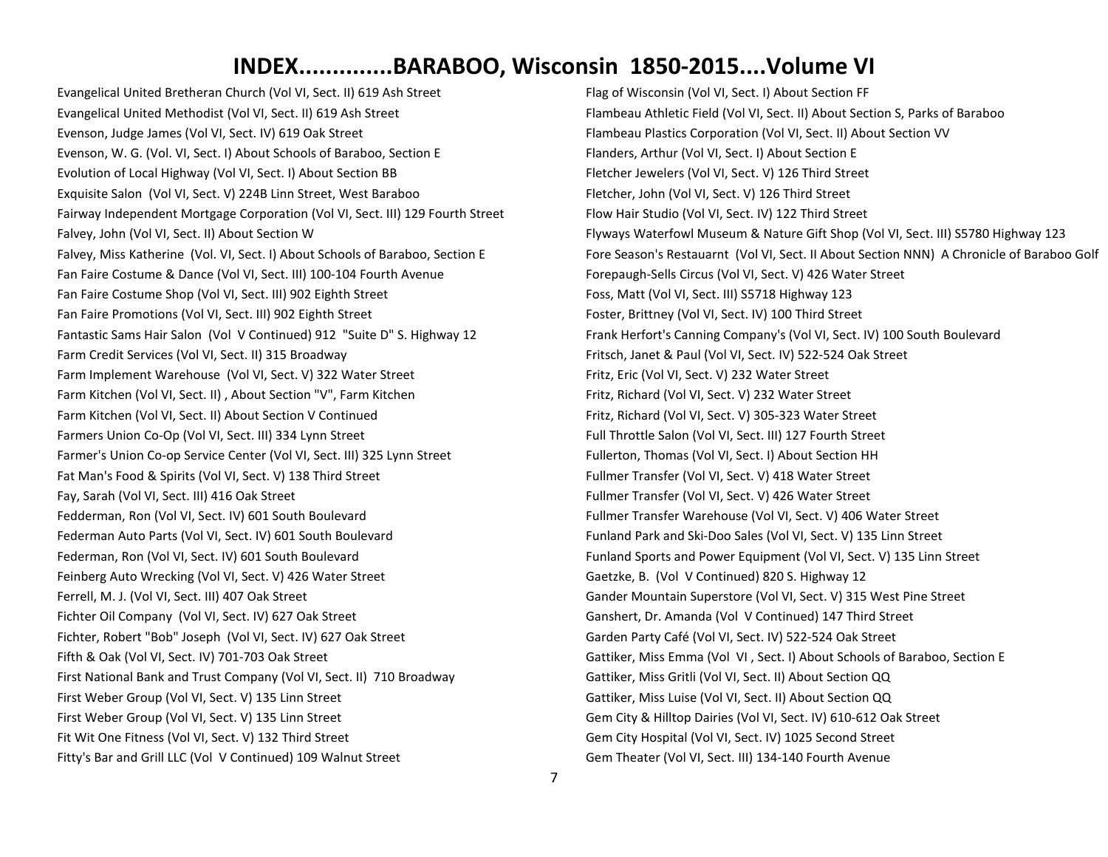Evangelical United Bretheran Church (Vol VI, Sect. II) 619 Ash Street Evangelical United Methodist (Vol VI, Sect. II) 619 Ash Street Evenson, Judge James (Vol VI, Sect. IV) 619 Oak Street Evenson, W. G. (Vol. VI, Sect. I) About Schools of Baraboo, Section E Evolution of Local Highway (Vol VI, Sect. I) About Section BB Exquisite Salon (Vol VI, Sect. V) 224B Linn Street, West Baraboo Fairway Independent Mortgage Corporation (Vol VI, Sect. III) 129 Fourth Street Falvey, John (Vol VI, Sect. II) About Section W Falvey, Miss Katherine (Vol. VI, Sect. I) About Schools of Baraboo, Section E Fan Faire Costume & Dance (Vol VI, Sect. III) 100-104 Fourth Avenue Fan Faire Costume Shop (Vol VI, Sect. III) 902 Eighth Street Fan Faire Promotions (Vol VI, Sect. III) 902 Eighth Street Fantastic Sams Hair Salon (Vol V Continued) 912 "Suite D" S. Highway 12 Farm Credit Services (Vol VI, Sect. II) 315 Broadway Farm Implement Warehouse (Vol VI, Sect. V) 322 Water Street Farm Kitchen (Vol VI, Sect. II) , About Section "V", Farm Kitchen Farm Kitchen (Vol VI, Sect. II) About Section V Continued Farmers Union Co-Op (Vol VI, Sect. III) 334 Lynn Street Farmer's Union Co-op Service Center (Vol VI, Sect. III) 325 Lynn Street Fat Man's Food & Spirits (Vol VI, Sect. V) 138 Third Street Fay, Sarah (Vol VI, Sect. III) 416 Oak Street Fedderman, Ron (Vol VI, Sect. IV) 601 South Boulevard Federman Auto Parts (Vol VI, Sect. IV) 601 South Boulevard Federman, Ron (Vol VI, Sect. IV) 601 South Boulevard Feinberg Auto Wrecking (Vol VI, Sect. V) 426 Water Street Ferrell, M. J. (Vol VI, Sect. III) 407 Oak Street Fichter Oil Company (Vol VI, Sect. IV) 627 Oak Street Fichter, Robert "Bob" Joseph (Vol VI, Sect. IV) 627 Oak Street Fifth & Oak (Vol VI, Sect. IV) 701-703 Oak Street First National Bank and Trust Company (Vol VI, Sect. II) 710 Broadway First Weber Group (Vol VI, Sect. V) 135 Linn Street First Weber Group (Vol VI, Sect. V) 135 Linn Street Fit Wit One Fitness (Vol VI, Sect. V) 132 Third Street Fitty's Bar and Grill LLC (Vol V Continued) 109 Walnut Street

Flag of Wisconsin (Vol VI, Sect. I) About Section FF Flambeau Athletic Field (Vol VI, Sect. II) About Section S, Parks of Baraboo Flambeau Plastics Corporation (Vol VI, Sect. II) About Section VV Flanders, Arthur (Vol VI, Sect. I) About Section E Fletcher Jewelers (Vol VI, Sect. V) 126 Third Street Fletcher, John (Vol VI, Sect. V) 126 Third Street Flow Hair Studio (Vol VI, Sect. IV) 122 Third Street Flyways Waterfowl Museum & Nature Gift Shop (Vol VI, Sect. III) S5780 Highway 123 Fore Season's Restauarnt (Vol VI, Sect. II About Section NNN) A Chronicle of Baraboo Golf Forepaugh-Sells Circus (Vol VI, Sect. V) 426 Water Street Foss, Matt (Vol VI, Sect. III) S5718 Highway 123 Foster, Brittney (Vol VI, Sect. IV) 100 Third Street Frank Herfort's Canning Company's (Vol VI, Sect. IV) 100 South Boulevard Fritsch, Janet & Paul (Vol VI, Sect. IV) 522-524 Oak Street Fritz, Eric (Vol VI, Sect. V) 232 Water Street Fritz, Richard (Vol VI, Sect. V) 232 Water Street Fritz, Richard (Vol VI, Sect. V) 305-323 Water Street Full Throttle Salon (Vol VI, Sect. III) 127 Fourth Street Fullerton, Thomas (Vol VI, Sect. I) About Section HH Fullmer Transfer (Vol VI, Sect. V) 418 Water Street Fullmer Transfer (Vol VI, Sect. V) 426 Water Street Fullmer Transfer Warehouse (Vol VI, Sect. V) 406 Water Street Funland Park and Ski-Doo Sales (Vol VI, Sect. V) 135 Linn Street Funland Sports and Power Equipment (Vol VI, Sect. V) 135 Linn Street Gaetzke, B. (Vol V Continued) 820 S. Highway 12 Gander Mountain Superstore (Vol VI, Sect. V) 315 West Pine Street Ganshert, Dr. Amanda (Vol V Continued) 147 Third Street Garden Party Café (Vol VI, Sect. IV) 522-524 Oak Street Gattiker, Miss Emma (Vol VI , Sect. I) About Schools of Baraboo, Section E Gattiker, Miss Gritli (Vol VI, Sect. II) About Section QQ Gattiker, Miss Luise (Vol VI, Sect. II) About Section QQ Gem City & Hilltop Dairies (Vol VI, Sect. IV) 610-612 Oak Street Gem City Hospital (Vol VI, Sect. IV) 1025 Second Street Gem Theater (Vol VI, Sect. III) 134-140 Fourth Avenue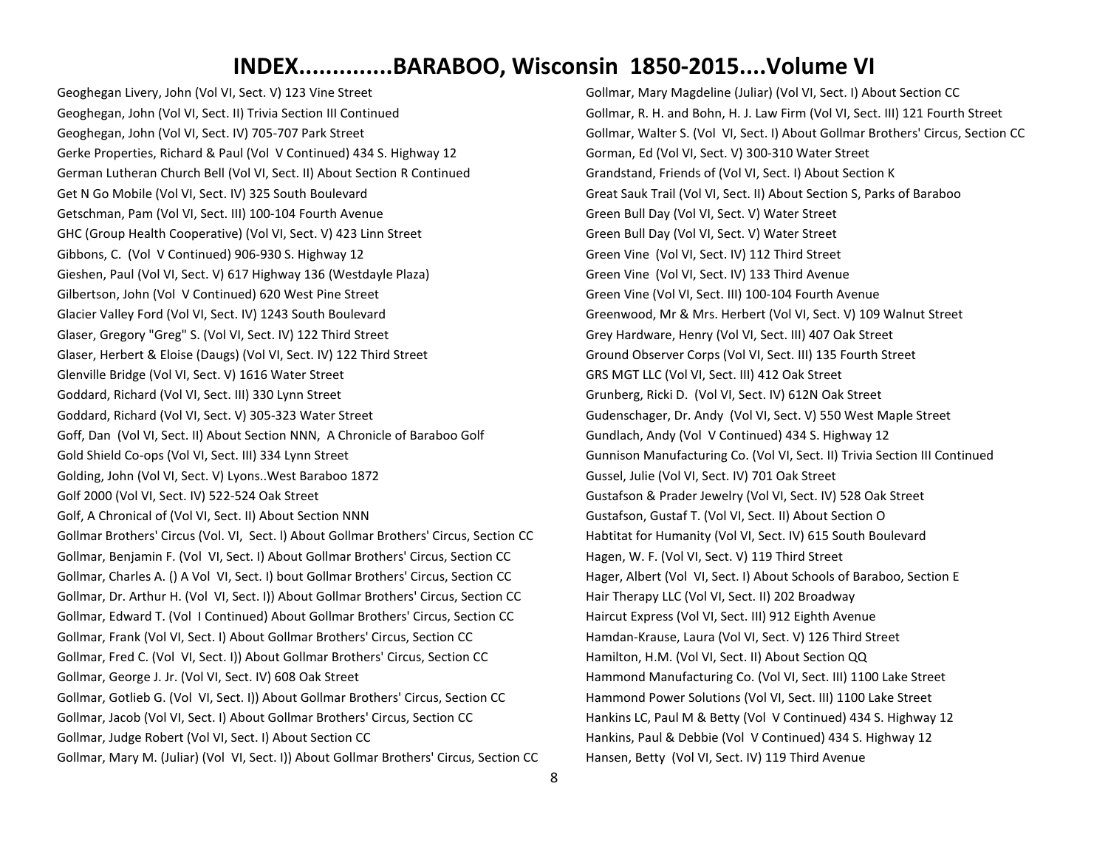Geoghegan Livery, John (Vol VI, Sect. V) 123 Vine Street Geoghegan, John (Vol VI, Sect. II) Trivia Section III Continued Geoghegan, John (Vol VI, Sect. IV) 705-707 Park Street Gerke Properties, Richard & Paul (Vol V Continued) 434 S. Highway 12 German Lutheran Church Bell (Vol VI, Sect. II) About Section R Continued Get N Go Mobile (Vol VI, Sect. IV) 325 South Boulevard Getschman, Pam (Vol VI, Sect. III) 100-104 Fourth Avenue GHC (Group Health Cooperative) (Vol VI, Sect. V) 423 Linn Street Gibbons, C. (Vol V Continued) 906-930 S. Highway 12 Gieshen, Paul (Vol VI, Sect. V) 617 Highway 136 (Westdayle Plaza) Gilbertson, John (Vol V Continued) 620 West Pine Street Glacier Valley Ford (Vol VI, Sect. IV) 1243 South Boulevard Glaser, Gregory "Greg" S. (Vol VI, Sect. IV) 122 Third Street Glaser, Herbert & Eloise (Daugs) (Vol VI, Sect. IV) 122 Third Street Glenville Bridge (Vol VI, Sect. V) 1616 Water Street Goddard, Richard (Vol VI, Sect. III) 330 Lynn Street Goddard, Richard (Vol VI, Sect. V) 305-323 Water Street Goff, Dan (Vol VI, Sect. II) About Section NNN, A Chronicle of Baraboo Golf Gold Shield Co-ops (Vol VI, Sect. III) 334 Lynn Street Golding, John (Vol VI, Sect. V) Lyons..West Baraboo 1872 Golf 2000 (Vol VI, Sect. IV) 522-524 Oak Street Golf, A Chronical of (Vol VI, Sect. II) About Section NNN Gollmar Brothers' Circus (Vol. VI, Sect. l) About Gollmar Brothers' Circus, Section CC Gollmar, Benjamin F. (Vol VI, Sect. I) About Gollmar Brothers' Circus, Section CC Gollmar, Charles A. () A Vol VI, Sect. I) bout Gollmar Brothers' Circus, Section CC Gollmar, Dr. Arthur H. (Vol VI, Sect. I)) About Gollmar Brothers' Circus, Section CC Gollmar, Edward T. (Vol I Continued) About Gollmar Brothers' Circus, Section CC Gollmar, Frank (Vol VI, Sect. I) About Gollmar Brothers' Circus, Section CC Gollmar, Fred C. (Vol VI, Sect. I)) About Gollmar Brothers' Circus, Section CC Gollmar, George J. Jr. (Vol VI, Sect. IV) 608 Oak Street Gollmar, Gotlieb G. (Vol VI, Sect. I)) About Gollmar Brothers' Circus, Section CC Gollmar, Jacob (Vol VI, Sect. I) About Gollmar Brothers' Circus, Section CC Gollmar, Judge Robert (Vol VI, Sect. I) About Section CC Gollmar, Mary M. (Juliar) (Vol VI, Sect. I)) About Gollmar Brothers' Circus, Section CC Gollmar, Mary Magdeline (Juliar) (Vol VI, Sect. I) About Section CC Gollmar, R. H. and Bohn, H. J. Law Firm (Vol VI, Sect. III) 121 Fourth Street Gollmar, Walter S. (Vol VI, Sect. I) About Gollmar Brothers' Circus, Section CC Gorman, Ed (Vol VI, Sect. V) 300-310 Water Street Grandstand, Friends of (Vol VI, Sect. I) About Section K Great Sauk Trail (Vol VI, Sect. II) About Section S, Parks of Baraboo Green Bull Day (Vol VI, Sect. V) Water Street Green Bull Day (Vol VI, Sect. V) Water Street Green Vine (Vol VI, Sect. IV) 112 Third Street Green Vine (Vol VI, Sect. IV) 133 Third Avenue Green Vine (Vol VI, Sect. III) 100-104 Fourth Avenue Greenwood, Mr & Mrs. Herbert (Vol VI, Sect. V) 109 Walnut Street Grey Hardware, Henry (Vol VI, Sect. III) 407 Oak Street Ground Observer Corps (Vol VI, Sect. III) 135 Fourth Street GRS MGT LLC (Vol VI, Sect. III) 412 Oak Street Grunberg, Ricki D. (Vol VI, Sect. IV) 612N Oak Street Gudenschager, Dr. Andy (Vol VI, Sect. V) 550 West Maple Street Gundlach, Andy (Vol V Continued) 434 S. Highway 12 Gunnison Manufacturing Co. (Vol VI, Sect. II) Trivia Section III Continued Gussel, Julie (Vol VI, Sect. IV) 701 Oak Street Gustafson & Prader Jewelry (Vol VI, Sect. IV) 528 Oak Street Gustafson, Gustaf T. (Vol VI, Sect. II) About Section O Habtitat for Humanity (Vol VI, Sect. IV) 615 South Boulevard Hagen, W. F. (Vol VI, Sect. V) 119 Third Street Hager, Albert (Vol VI, Sect. I) About Schools of Baraboo, Section E Hair Therapy LLC (Vol VI, Sect. II) 202 Broadway Haircut Express (Vol VI, Sect. III) 912 Eighth Avenue Hamdan-Krause, Laura (Vol VI, Sect. V) 126 Third Street Hamilton, H.M. (Vol VI, Sect. II) About Section QQ Hammond Manufacturing Co. (Vol VI, Sect. III) 1100 Lake Street Hammond Power Solutions (Vol VI, Sect. III) 1100 Lake Street Hankins LC, Paul M & Betty (Vol V Continued) 434 S. Highway 12 Hankins, Paul & Debbie (Vol V Continued) 434 S. Highway 12 Hansen, Betty (Vol VI, Sect. IV) 119 Third Avenue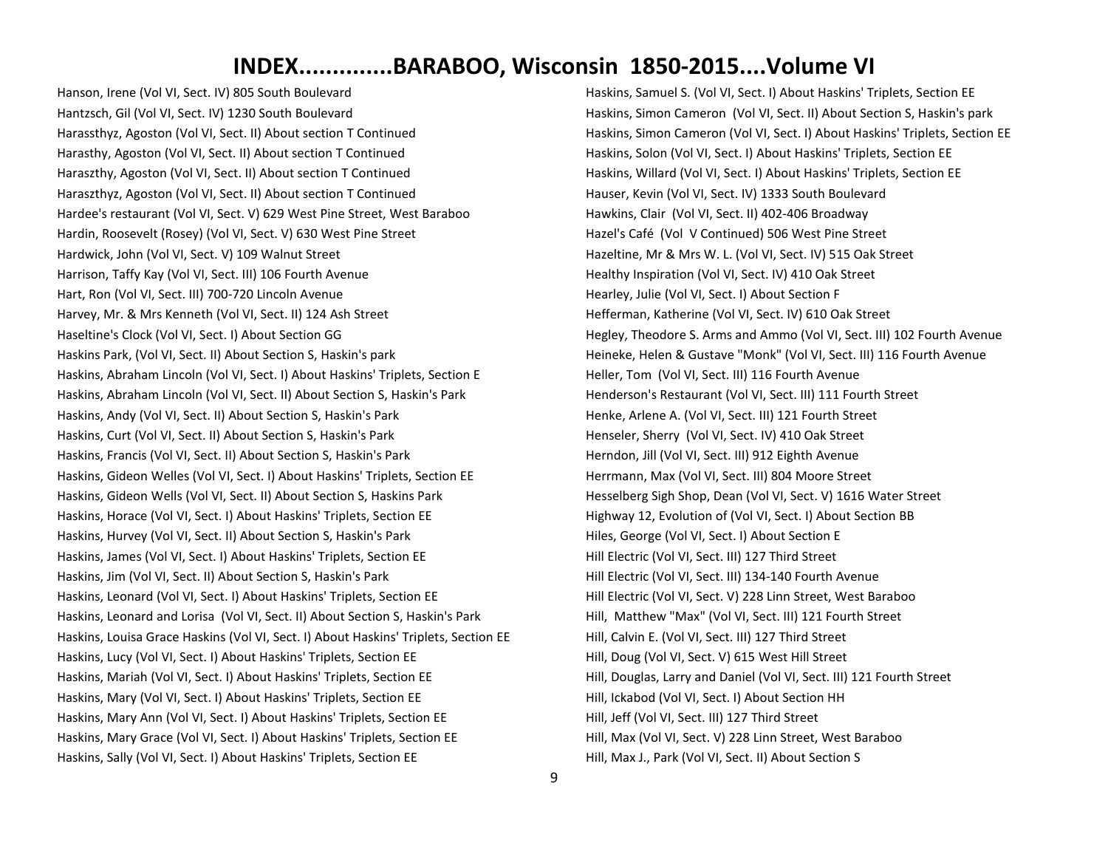Hanson, Irene (Vol VI, Sect. IV) 805 South Boulevard Hantzsch, Gil (Vol VI, Sect. IV) 1230 South Boulevard Harassthyz, Agoston (Vol VI, Sect. II) About section T Continued Harasthy, Agoston (Vol VI, Sect. II) About section T Continued Haraszthy, Agoston (Vol VI, Sect. II) About section T Continued Haraszthyz, Agoston (Vol VI, Sect. II) About section T Continued Hardee's restaurant (Vol VI, Sect. V) 629 West Pine Street, West Baraboo Hardin, Roosevelt (Rosey) (Vol VI, Sect. V) 630 West Pine Street Hardwick, John (Vol VI, Sect. V) 109 Walnut Street Harrison, Taffy Kay (Vol VI, Sect. III) 106 Fourth Avenue Hart, Ron (Vol VI, Sect. III) 700-720 Lincoln Avenue Harvey, Mr. & Mrs Kenneth (Vol VI, Sect. II) 124 Ash Street Haseltine's Clock (Vol VI, Sect. I) About Section GG Haskins Park, (Vol VI, Sect. II) About Section S, Haskin's park Haskins, Abraham Lincoln (Vol VI, Sect. I) About Haskins' Triplets, Section E Haskins, Abraham Lincoln (Vol VI, Sect. II) About Section S, Haskin's Park Haskins, Andy (Vol VI, Sect. II) About Section S, Haskin's Park Haskins, Curt (Vol VI, Sect. II) About Section S, Haskin's Park Haskins, Francis (Vol VI, Sect. II) About Section S, Haskin's Park Haskins, Gideon Welles (Vol VI, Sect. I) About Haskins' Triplets, Section EE Haskins, Gideon Wells (Vol VI, Sect. II) About Section S, Haskins Park Haskins, Horace (Vol VI, Sect. I) About Haskins' Triplets, Section EE Haskins, Hurvey (Vol VI, Sect. II) About Section S, Haskin's Park Haskins, James (Vol VI, Sect. I) About Haskins' Triplets, Section EE Haskins, Jim (Vol VI, Sect. II) About Section S, Haskin's Park Haskins, Leonard (Vol VI, Sect. I) About Haskins' Triplets, Section EE Haskins, Leonard and Lorisa (Vol VI, Sect. II) About Section S, Haskin's Park Haskins, Louisa Grace Haskins (Vol VI, Sect. I) About Haskins' Triplets, Section EE Haskins, Lucy (Vol VI, Sect. I) About Haskins' Triplets, Section EE Haskins, Mariah (Vol VI, Sect. I) About Haskins' Triplets, Section EE Haskins, Mary (Vol VI, Sect. I) About Haskins' Triplets, Section EE Haskins, Mary Ann (Vol VI, Sect. I) About Haskins' Triplets, Section EE Haskins, Mary Grace (Vol VI, Sect. I) About Haskins' Triplets, Section EE Haskins, Sally (Vol VI, Sect. I) About Haskins' Triplets, Section EE

Haskins, Samuel S. (Vol VI, Sect. I) About Haskins' Triplets, Section EE Haskins, Simon Cameron (Vol VI, Sect. II) About Section S, Haskin's park Haskins, Simon Cameron (Vol VI, Sect. I) About Haskins' Triplets, Section EE Haskins, Solon (Vol VI, Sect. I) About Haskins' Triplets, Section EE Haskins, Willard (Vol VI, Sect. I) About Haskins' Triplets, Section EE Hauser, Kevin (Vol VI, Sect. IV) 1333 South Boulevard Hawkins, Clair (Vol VI, Sect. II) 402-406 Broadway Hazel's Café (Vol V Continued) 506 West Pine Street Hazeltine, Mr & Mrs W. L. (Vol VI, Sect. IV) 515 Oak Street Healthy Inspiration (Vol VI, Sect. IV) 410 Oak Street Hearley, Julie (Vol VI, Sect. I) About Section F Hefferman, Katherine (Vol VI, Sect. IV) 610 Oak Street Hegley, Theodore S. Arms and Ammo (Vol VI, Sect. III) 102 Fourth Avenue Heineke, Helen & Gustave "Monk" (Vol VI, Sect. III) 116 Fourth Avenue Heller, Tom (Vol VI, Sect. III) 116 Fourth Avenue Henderson's Restaurant (Vol VI, Sect. III) 111 Fourth Street Henke, Arlene A. (Vol VI, Sect. III) 121 Fourth Street Henseler, Sherry (Vol VI, Sect. IV) 410 Oak Street Herndon, Jill (Vol VI, Sect. III) 912 Eighth Avenue Herrmann, Max (Vol VI, Sect. III) 804 Moore Street Hesselberg Sigh Shop, Dean (Vol VI, Sect. V) 1616 Water Street Highway 12, Evolution of (Vol VI, Sect. I) About Section BB Hiles, George (Vol VI, Sect. I) About Section E Hill Electric (Vol VI, Sect. III) 127 Third Street Hill Electric (Vol VI, Sect. III) 134-140 Fourth Avenue Hill Electric (Vol VI, Sect. V) 228 Linn Street, West Baraboo Hill, Matthew "Max" (Vol VI, Sect. III) 121 Fourth Street Hill, Calvin E. (Vol VI, Sect. III) 127 Third Street Hill, Doug (Vol VI, Sect. V) 615 West Hill Street Hill, Douglas, Larry and Daniel (Vol VI, Sect. III) 121 Fourth Street Hill, Ickabod (Vol VI, Sect. I) About Section HH Hill, Jeff (Vol VI, Sect. III) 127 Third Street Hill, Max (Vol VI, Sect. V) 228 Linn Street, West Baraboo Hill, Max J., Park (Vol VI, Sect. II) About Section S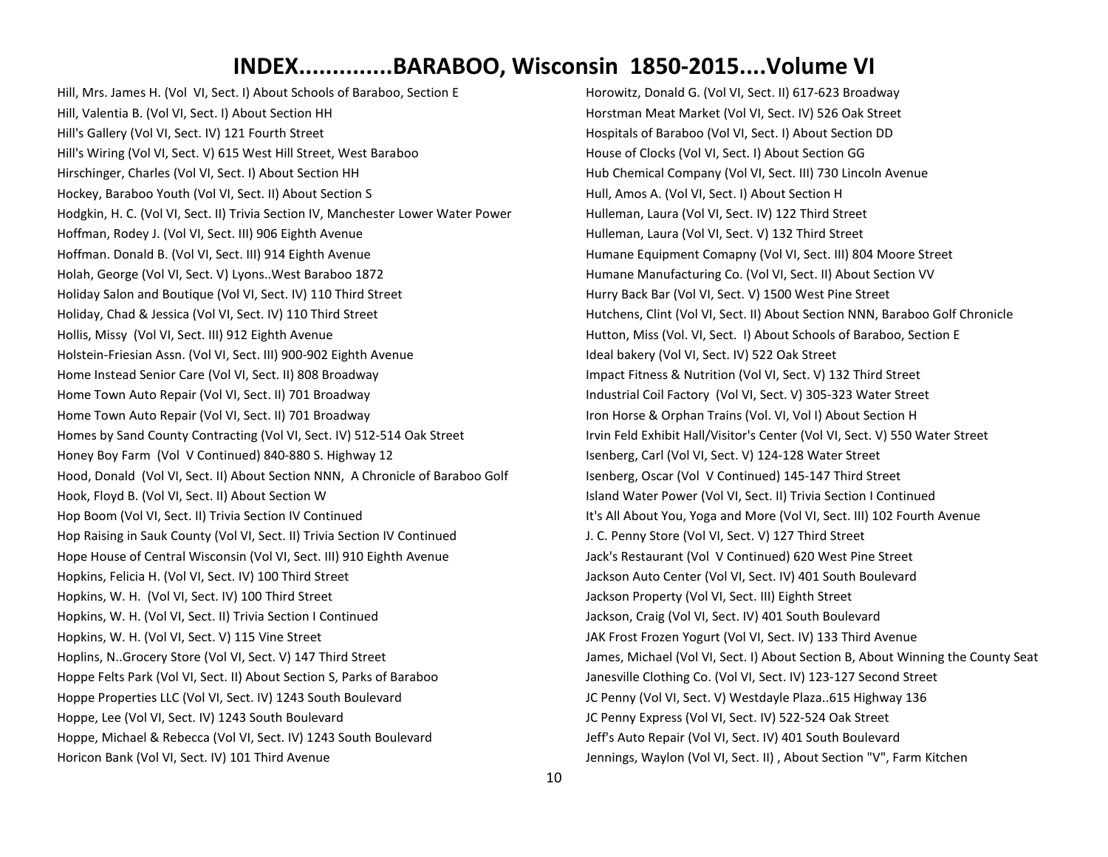Hill, Mrs. James H. (Vol VI, Sect. I) About Schools of Baraboo, Section E Hill, Valentia B. (Vol VI, Sect. I) About Section HH Hill's Gallery (Vol VI, Sect. IV) 121 Fourth Street Hill's Wiring (Vol VI, Sect. V) 615 West Hill Street, West Baraboo Hirschinger, Charles (Vol VI, Sect. I) About Section HH Hockey, Baraboo Youth (Vol VI, Sect. II) About Section S Hodgkin, H. C. (Vol VI, Sect. II) Trivia Section IV, Manchester Lower Water Power Hoffman, Rodey J. (Vol VI, Sect. III) 906 Eighth Avenue Hoffman. Donald B. (Vol VI, Sect. III) 914 Eighth Avenue Holah, George (Vol VI, Sect. V) Lyons..West Baraboo 1872 Holiday Salon and Boutique (Vol VI, Sect. IV) 110 Third Street Holiday, Chad & Jessica (Vol VI, Sect. IV) 110 Third Street Hollis, Missy (Vol VI, Sect. III) 912 Eighth Avenue Holstein-Friesian Assn. (Vol VI, Sect. III) 900-902 Eighth Avenue Home Instead Senior Care (Vol VI, Sect. II) 808 Broadway Home Town Auto Repair (Vol VI, Sect. II) 701 Broadway Home Town Auto Repair (Vol VI, Sect. II) 701 Broadway Homes by Sand County Contracting (Vol VI, Sect. IV) 512-514 Oak Street Honey Boy Farm (Vol V Continued) 840-880 S. Highway 12 Hood, Donald (Vol VI, Sect. II) About Section NNN, A Chronicle of Baraboo Golf Hook, Floyd B. (Vol VI, Sect. II) About Section W Hop Boom (Vol VI, Sect. II) Trivia Section IV Continued Hop Raising in Sauk County (Vol VI, Sect. II) Trivia Section IV Continued Hope House of Central Wisconsin (Vol VI, Sect. III) 910 Eighth Avenue Hopkins, Felicia H. (Vol VI, Sect. IV) 100 Third Street Hopkins, W. H. (Vol VI, Sect. IV) 100 Third Street Hopkins, W. H. (Vol VI, Sect. II) Trivia Section I Continued Hopkins, W. H. (Vol VI, Sect. V) 115 Vine Street Hoplins, N..Grocery Store (Vol VI, Sect. V) 147 Third Street Hoppe Felts Park (Vol VI, Sect. II) About Section S, Parks of Baraboo Hoppe Properties LLC (Vol VI, Sect. IV) 1243 South Boulevard Hoppe, Lee (Vol VI, Sect. IV) 1243 South Boulevard Hoppe, Michael & Rebecca (Vol VI, Sect. IV) 1243 South Boulevard Horicon Bank (Vol VI, Sect. IV) 101 Third Avenue

Horowitz, Donald G. (Vol VI, Sect. II) 617-623 Broadway Horstman Meat Market (Vol VI, Sect. IV) 526 Oak Street Hospitals of Baraboo (Vol VI, Sect. I) About Section DD House of Clocks (Vol VI, Sect. I) About Section GG Hub Chemical Company (Vol VI, Sect. III) 730 Lincoln Avenue Hull, Amos A. (Vol VI, Sect. I) About Section H Hulleman, Laura (Vol VI, Sect. IV) 122 Third Street Hulleman, Laura (Vol VI, Sect. V) 132 Third Street Humane Equipment Comapny (Vol VI, Sect. III) 804 Moore Street Humane Manufacturing Co. (Vol VI, Sect. II) About Section VV Hurry Back Bar (Vol VI, Sect. V) 1500 West Pine Street Hutchens, Clint (Vol VI, Sect. II) About Section NNN, Baraboo Golf Chronicle Hutton, Miss (Vol. VI, Sect. I) About Schools of Baraboo, Section E Ideal bakery (Vol VI, Sect. IV) 522 Oak Street Impact Fitness & Nutrition (Vol VI, Sect. V) 132 Third Street Industrial Coil Factory (Vol VI, Sect. V) 305-323 Water Street Iron Horse & Orphan Trains (Vol. VI, Vol I) About Section H Irvin Feld Exhibit Hall/Visitor's Center (Vol VI, Sect. V) 550 Water Street Isenberg, Carl (Vol VI, Sect. V) 124-128 Water Street Isenberg, Oscar (Vol V Continued) 145-147 Third Street Island Water Power (Vol VI, Sect. II) Trivia Section I Continued It's All About You, Yoga and More (Vol VI, Sect. III) 102 Fourth Avenue J. C. Penny Store (Vol VI, Sect. V) 127 Third Street Jack's Restaurant (Vol V Continued) 620 West Pine Street Jackson Auto Center (Vol VI, Sect. IV) 401 South Boulevard Jackson Property (Vol VI, Sect. III) Eighth Street Jackson, Craig (Vol VI, Sect. IV) 401 South Boulevard JAK Frost Frozen Yogurt (Vol VI, Sect. IV) 133 Third Avenue James, Michael (Vol VI, Sect. I) About Section B, About Winning the County Seat Janesville Clothing Co. (Vol VI, Sect. IV) 123-127 Second Street JC Penny (Vol VI, Sect. V) Westdayle Plaza..615 Highway 136 JC Penny Express (Vol VI, Sect. IV) 522-524 Oak Street Jeff's Auto Repair (Vol VI, Sect. IV) 401 South Boulevard Jennings, Waylon (Vol VI, Sect. II) , About Section "V", Farm Kitchen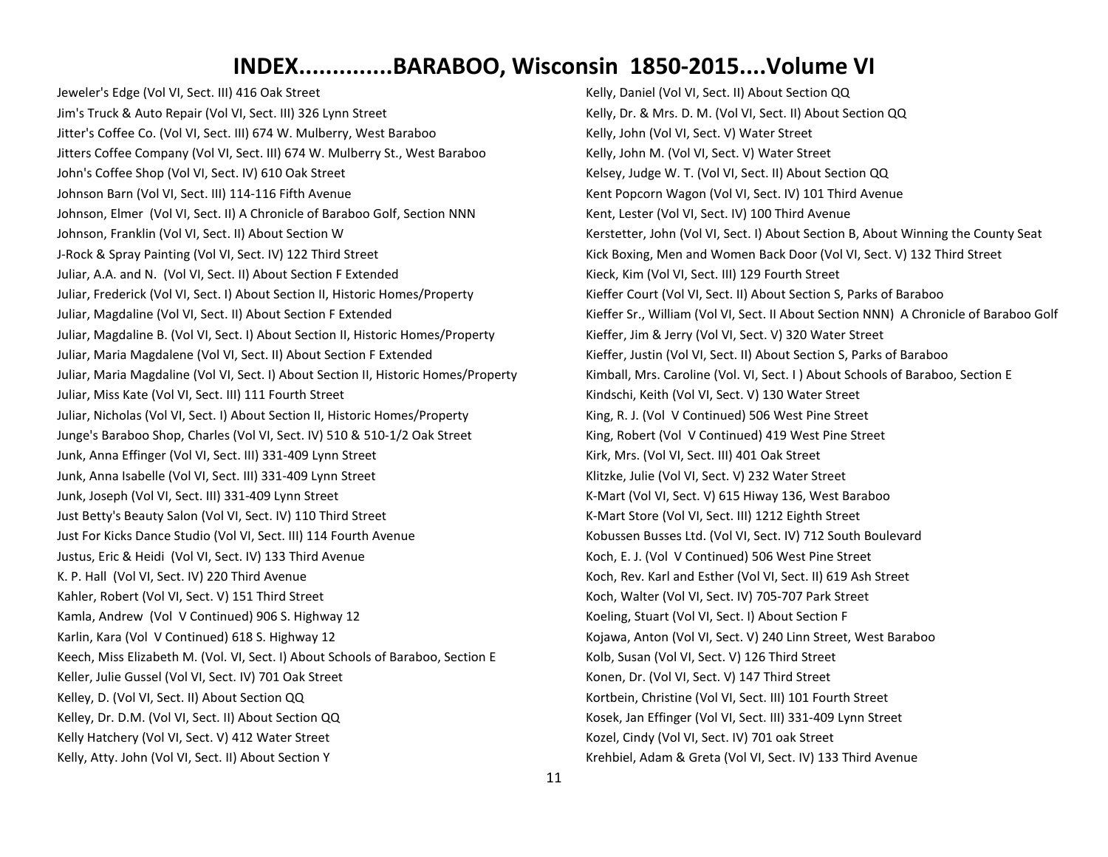Jeweler's Edge (Vol VI, Sect. III) 416 Oak Street Jim's Truck & Auto Repair (Vol VI, Sect. III) 326 Lynn Street Jitter's Coffee Co. (Vol VI, Sect. III) 674 W. Mulberry, West Baraboo Jitters Coffee Company (Vol VI, Sect. III) 674 W. Mulberry St., West Baraboo John's Coffee Shop (Vol VI, Sect. IV) 610 Oak Street Johnson Barn (Vol VI, Sect. III) 114-116 Fifth Avenue Johnson, Elmer (Vol VI, Sect. II) A Chronicle of Baraboo Golf, Section NNN Johnson, Franklin (Vol VI, Sect. II) About Section W J-Rock & Spray Painting (Vol VI, Sect. IV) 122 Third Street Juliar, A.A. and N. (Vol VI, Sect. II) About Section F Extended Juliar, Frederick (Vol VI, Sect. I) About Section II, Historic Homes/Property Juliar, Magdaline (Vol VI, Sect. II) About Section F Extended Juliar, Magdaline B. (Vol VI, Sect. I) About Section II, Historic Homes/Property Juliar, Maria Magdalene (Vol VI, Sect. II) About Section F Extended Juliar, Maria Magdaline (Vol VI, Sect. I) About Section II, Historic Homes/Property Juliar, Miss Kate (Vol VI, Sect. III) 111 Fourth Street Juliar, Nicholas (Vol VI, Sect. I) About Section II, Historic Homes/Property Junge's Baraboo Shop, Charles (Vol VI, Sect. IV) 510 & 510-1/2 Oak Street Junk, Anna Effinger (Vol VI, Sect. III) 331-409 Lynn Street Junk, Anna Isabelle (Vol VI, Sect. III) 331-409 Lynn Street Junk, Joseph (Vol VI, Sect. III) 331-409 Lynn Street Just Betty's Beauty Salon (Vol VI, Sect. IV) 110 Third Street Just For Kicks Dance Studio (Vol VI, Sect. III) 114 Fourth Avenue Justus, Eric & Heidi (Vol VI, Sect. IV) 133 Third Avenue K. P. Hall (Vol VI, Sect. IV) 220 Third Avenue Kahler, Robert (Vol VI, Sect. V) 151 Third Street Kamla, Andrew (Vol V Continued) 906 S. Highway 12 Karlin, Kara (Vol V Continued) 618 S. Highway 12 Keech, Miss Elizabeth M. (Vol. VI, Sect. I) About Schools of Baraboo, Section E Keller, Julie Gussel (Vol VI, Sect. IV) 701 Oak Street Kelley, D. (Vol VI, Sect. II) About Section QQ Kelley, Dr. D.M. (Vol VI, Sect. II) About Section QQ Kelly Hatchery (Vol VI, Sect. V) 412 Water Street Kelly, Atty. John (Vol VI, Sect. II) About Section Y

Kelly, Daniel (Vol VI, Sect. II) About Section QQ Kelly, Dr. & Mrs. D. M. (Vol VI, Sect. II) About Section QQ Kelly, John (Vol VI, Sect. V) Water Street Kelly, John M. (Vol VI, Sect. V) Water Street Kelsey, Judge W. T. (Vol VI, Sect. II) About Section QQ Kent Popcorn Wagon (Vol VI, Sect. IV) 101 Third Avenue Kent, Lester (Vol VI, Sect. IV) 100 Third Avenue Kerstetter, John (Vol VI, Sect. I) About Section B, About Winning the County Seat Kick Boxing, Men and Women Back Door (Vol VI, Sect. V) 132 Third Street Kieck, Kim (Vol VI, Sect. III) 129 Fourth Street Kieffer Court (Vol VI, Sect. II) About Section S, Parks of Baraboo Kieffer Sr., William (Vol VI, Sect. II About Section NNN) A Chronicle of Baraboo Golf Kieffer, Jim & Jerry (Vol VI, Sect. V) 320 Water Street Kieffer, Justin (Vol VI, Sect. II) About Section S, Parks of Baraboo Kimball, Mrs. Caroline (Vol. VI, Sect. I ) About Schools of Baraboo, Section E Kindschi, Keith (Vol VI, Sect. V) 130 Water Street King, R. J. (Vol V Continued) 506 West Pine Street King, Robert (Vol V Continued) 419 West Pine Street Kirk, Mrs. (Vol VI, Sect. III) 401 Oak Street Klitzke, Julie (Vol VI, Sect. V) 232 Water Street K-Mart (Vol VI, Sect. V) 615 Hiway 136, West Baraboo K-Mart Store (Vol VI, Sect. III) 1212 Eighth Street Kobussen Busses Ltd. (Vol VI, Sect. IV) 712 South Boulevard Koch, E. J. (Vol V Continued) 506 West Pine Street Koch, Rev. Karl and Esther (Vol VI, Sect. II) 619 Ash Street Koch, Walter (Vol VI, Sect. IV) 705-707 Park Street Koeling, Stuart (Vol VI, Sect. I) About Section F Kojawa, Anton (Vol VI, Sect. V) 240 Linn Street, West Baraboo Kolb, Susan (Vol VI, Sect. V) 126 Third Street Konen, Dr. (Vol VI, Sect. V) 147 Third Street Kortbein, Christine (Vol VI, Sect. III) 101 Fourth Street Kosek, Jan Effinger (Vol VI, Sect. III) 331-409 Lynn Street Kozel, Cindy (Vol VI, Sect. IV) 701 oak Street Krehbiel, Adam & Greta (Vol VI, Sect. IV) 133 Third Avenue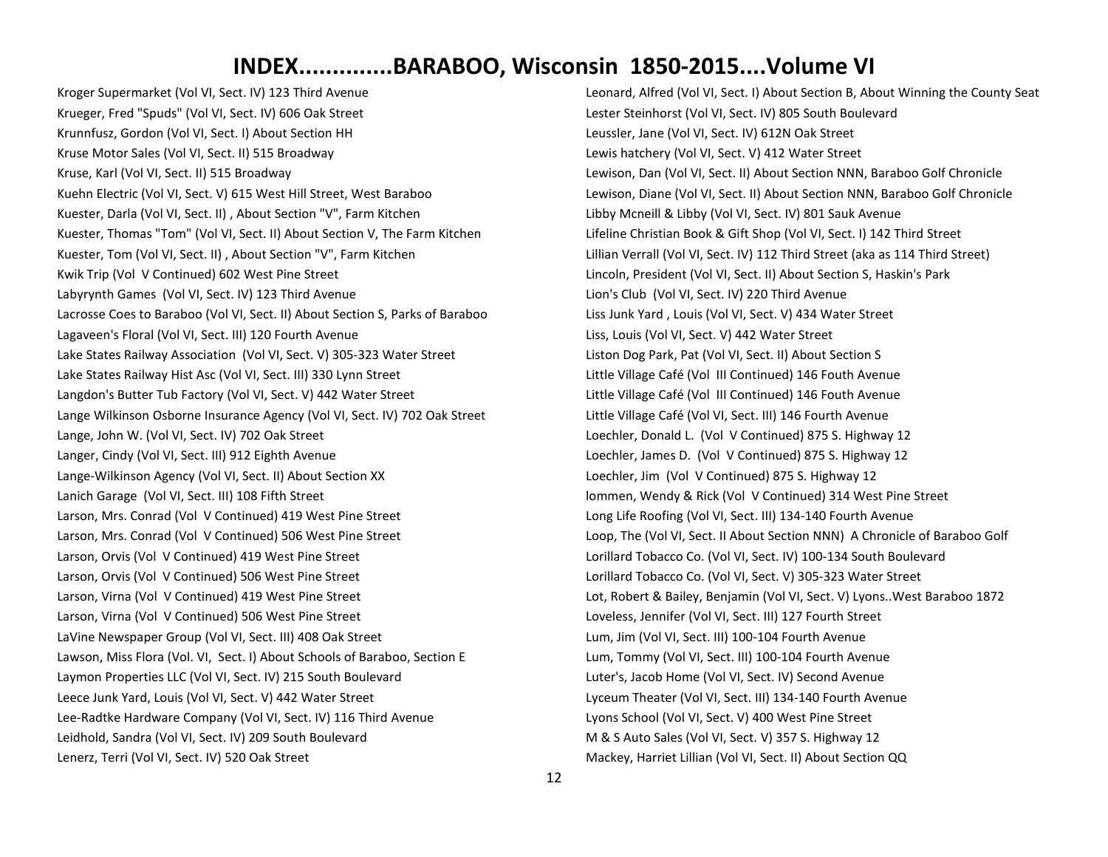Kroger Supermarket (Vol VI, Sect. IV) 123 Third Avenue Krueger, Fred "Spuds" (Vol VI, Sect. IV) 606 Oak Street Krunnfusz, Gordon (Vol VI, Sect. I) About Section HH Kruse Motor Sales (Vol VI, Sect. II) 515 Broadway Kruse, Karl (Vol VI, Sect. II) 515 Broadway Kuehn Electric (Vol VI, Sect. V) 615 West Hill Street, West Baraboo Kuester, Darla (Vol VI, Sect. II) , About Section "V", Farm Kitchen Kuester, Thomas "Tom" (Vol VI, Sect. II) About Section V, The Farm Kitchen Kuester, Tom (Vol VI, Sect. II) , About Section "V", Farm Kitchen Kwik Trip (Vol V Continued) 602 West Pine Street Labyrynth Games (Vol VI, Sect. IV) 123 Third Avenue Lacrosse Coes to Baraboo (Vol VI, Sect. II) About Section S, Parks of Baraboo Lagaveen's Floral (Vol VI, Sect. III) 120 Fourth Avenue Lake States Railway Association (Vol VI, Sect. V) 305-323 Water Street Lake States Railway Hist Asc (Vol VI, Sect. III) 330 Lynn Street Langdon's Butter Tub Factory (Vol VI, Sect. V) 442 Water Street Lange Wilkinson Osborne Insurance Agency (Vol VI, Sect. IV) 702 Oak Street Lange, John W. (Vol VI, Sect. IV) 702 Oak Street Langer, Cindy (Vol VI, Sect. III) 912 Eighth Avenue Lange-Wilkinson Agency (Vol VI, Sect. II) About Section XX Lanich Garage (Vol VI, Sect. III) 108 Fifth Street Larson, Mrs. Conrad (Vol V Continued) 419 West Pine Street Larson, Mrs. Conrad (Vol V Continued) 506 West Pine Street Larson, Orvis (Vol V Continued) 419 West Pine Street Larson, Orvis (Vol V Continued) 506 West Pine Street Larson, Virna (Vol V Continued) 419 West Pine Street Larson, Virna (Vol V Continued) 506 West Pine Street LaVine Newspaper Group (Vol VI, Sect. III) 408 Oak Street Lawson, Miss Flora (Vol. VI, Sect. I) About Schools of Baraboo, Section E Laymon Properties LLC (Vol VI, Sect. IV) 215 South Boulevard Leece Junk Yard, Louis (Vol VI, Sect. V) 442 Water Street Lee-Radtke Hardware Company (Vol VI, Sect. IV) 116 Third Avenue Leidhold, Sandra (Vol VI, Sect. IV) 209 South Boulevard Lenerz, Terri (Vol VI, Sect. IV) 520 Oak Street

Leonard, Alfred (Vol VI, Sect. I) About Section B, About Winning the County Seat Lester Steinhorst (Vol VI, Sect. IV) 805 South Boulevard Leussler, Jane (Vol VI, Sect. IV) 612N Oak Street Lewis hatchery (Vol VI, Sect. V) 412 Water Street Lewison, Dan (Vol VI, Sect. II) About Section NNN, Baraboo Golf Chronicle Lewison, Diane (Vol VI, Sect. II) About Section NNN, Baraboo Golf Chronicle Libby Mcneill & Libby (Vol VI, Sect. IV) 801 Sauk Avenue Lifeline Christian Book & Gift Shop (Vol VI, Sect. I) 142 Third Street Lillian Verrall (Vol VI, Sect. IV) 112 Third Street (aka as 114 Third Street) Lincoln, President (Vol VI, Sect. II) About Section S, Haskin's Park Lion's Club (Vol VI, Sect. IV) 220 Third Avenue Liss Junk Yard , Louis (Vol VI, Sect. V) 434 Water Street Liss, Louis (Vol VI, Sect. V) 442 Water Street Liston Dog Park, Pat (Vol VI, Sect. II) About Section S Little Village Café (Vol III Continued) 146 Fouth Avenue Little Village Café (Vol III Continued) 146 Fouth Avenue Little Village Café (Vol VI, Sect. III) 146 Fourth Avenue Loechler, Donald L. (Vol V Continued) 875 S. Highway 12 Loechler, James D. (Vol V Continued) 875 S. Highway 12 Loechler, Jim (Vol V Continued) 875 S. Highway 12 lommen, Wendy & Rick (Vol V Continued) 314 West Pine Street Long Life Roofing (Vol VI, Sect. III) 134-140 Fourth Avenue Loop, The (Vol VI, Sect. II About Section NNN) A Chronicle of Baraboo Golf Lorillard Tobacco Co. (Vol VI, Sect. IV) 100-134 South Boulevard Lorillard Tobacco Co. (Vol VI, Sect. V) 305-323 Water Street Lot, Robert & Bailey, Benjamin (Vol VI, Sect. V) Lyons..West Baraboo 1872 Loveless, Jennifer (Vol VI, Sect. III) 127 Fourth Street Lum, Jim (Vol VI, Sect. III) 100-104 Fourth Avenue Lum, Tommy (Vol VI, Sect. III) 100-104 Fourth Avenue Luter's, Jacob Home (Vol VI, Sect. IV) Second Avenue Lyceum Theater (Vol VI, Sect. III) 134-140 Fourth Avenue Lyons School (Vol VI, Sect. V) 400 West Pine Street M & S Auto Sales (Vol VI, Sect. V) 357 S. Highway 12 Mackey, Harriet Lillian (Vol VI, Sect. II) About Section QQ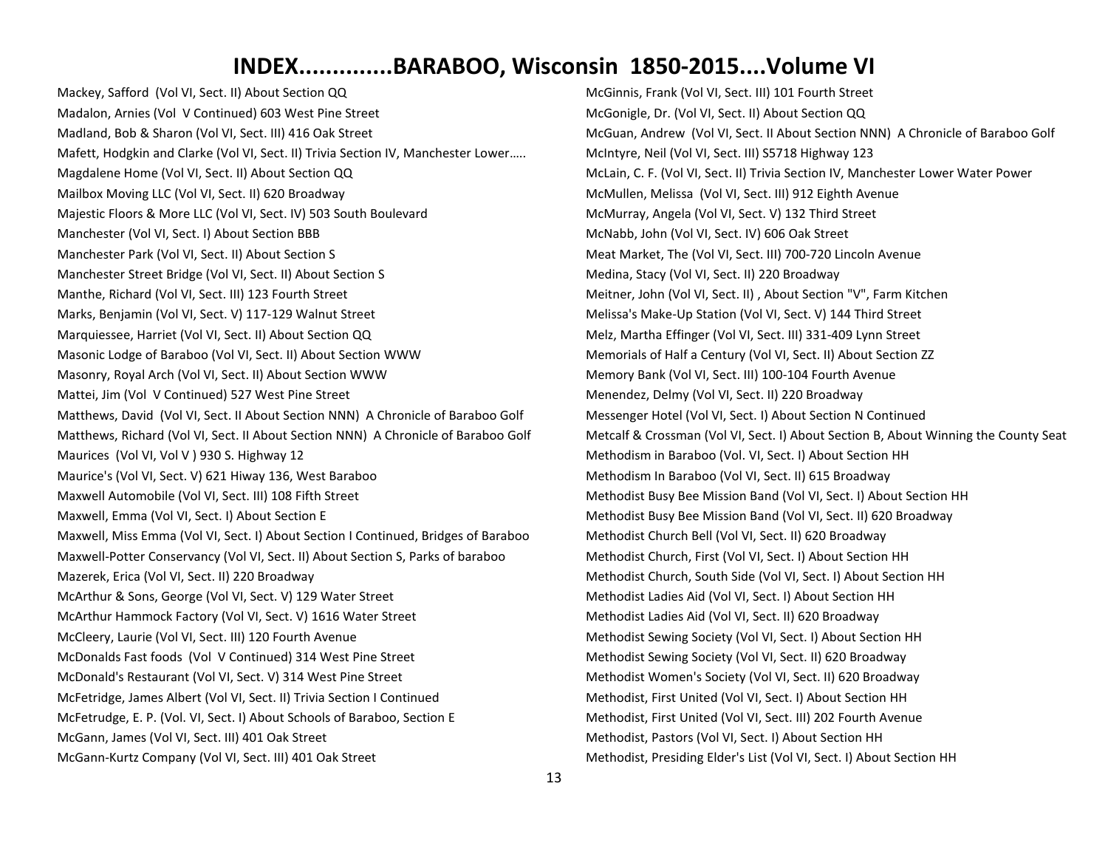Mackey, Safford (Vol VI, Sect. II) About Section QQ Madalon, Arnies (Vol V Continued) 603 West Pine Street Madland, Bob & Sharon (Vol VI, Sect. III) 416 Oak Street Mafett, Hodgkin and Clarke (Vol VI, Sect. II) Trivia Section IV, Manchester Lower….. Magdalene Home (Vol VI, Sect. II) About Section QQ Mailbox Moving LLC (Vol VI, Sect. II) 620 Broadway Majestic Floors & More LLC (Vol VI, Sect. IV) 503 South Boulevard Manchester (Vol VI, Sect. I) About Section BBB Manchester Park (Vol VI, Sect. II) About Section S Manchester Street Bridge (Vol VI, Sect. II) About Section S Manthe, Richard (Vol VI, Sect. III) 123 Fourth Street Marks, Benjamin (Vol VI, Sect. V) 117-129 Walnut Street Marquiessee, Harriet (Vol VI, Sect. II) About Section QQ Masonic Lodge of Baraboo (Vol VI, Sect. II) About Section WWW Masonry, Royal Arch (Vol VI, Sect. II) About Section WWW Mattei, Jim (Vol V Continued) 527 West Pine Street Matthews, David (Vol VI, Sect. II About Section NNN) A Chronicle of Baraboo Golf Matthews, Richard (Vol VI, Sect. II About Section NNN) A Chronicle of Baraboo Golf Maurices (Vol VI, Vol V ) 930 S. Highway 12 Maurice's (Vol VI, Sect. V) 621 Hiway 136, West Baraboo Maxwell Automobile (Vol VI, Sect. III) 108 Fifth Street Maxwell, Emma (Vol VI, Sect. I) About Section E Maxwell, Miss Emma (Vol VI, Sect. I) About Section I Continued, Bridges of Baraboo Maxwell-Potter Conservancy (Vol VI, Sect. II) About Section S, Parks of baraboo Mazerek, Erica (Vol VI, Sect. II) 220 Broadway McArthur & Sons, George (Vol VI, Sect. V) 129 Water Street McArthur Hammock Factory (Vol VI, Sect. V) 1616 Water Street McCleery, Laurie (Vol VI, Sect. III) 120 Fourth Avenue McDonalds Fast foods (Vol V Continued) 314 West Pine Street McDonald's Restaurant (Vol VI, Sect. V) 314 West Pine Street McFetridge, James Albert (Vol VI, Sect. II) Trivia Section I Continued McFetrudge, E. P. (Vol. VI, Sect. I) About Schools of Baraboo, Section E McGann, James (Vol VI, Sect. III) 401 Oak Street McGann-Kurtz Company (Vol VI, Sect. III) 401 Oak Street

McGinnis, Frank (Vol VI, Sect. III) 101 Fourth Street McGonigle, Dr. (Vol VI, Sect. II) About Section QQ McGuan, Andrew (Vol VI, Sect. II About Section NNN) A Chronicle of Baraboo Golf McIntyre, Neil (Vol VI, Sect. III) S5718 Highway 123 McLain, C. F. (Vol VI, Sect. II) Trivia Section IV, Manchester Lower Water Power McMullen, Melissa (Vol VI, Sect. III) 912 Eighth Avenue McMurray, Angela (Vol VI, Sect. V) 132 Third Street McNabb, John (Vol VI, Sect. IV) 606 Oak Street Meat Market, The (Vol VI, Sect. III) 700-720 Lincoln Avenue Medina, Stacy (Vol VI, Sect. II) 220 Broadway Meitner, John (Vol VI, Sect. II) , About Section "V", Farm Kitchen Melissa's Make-Up Station (Vol VI, Sect. V) 144 Third Street Melz, Martha Effinger (Vol VI, Sect. III) 331-409 Lynn Street Memorials of Half a Century (Vol VI, Sect. II) About Section ZZ Memory Bank (Vol VI, Sect. III) 100-104 Fourth Avenue Menendez, Delmy (Vol VI, Sect. II) 220 Broadway Messenger Hotel (Vol VI, Sect. I) About Section N Continued Metcalf & Crossman (Vol VI, Sect. I) About Section B, About Winning the County Seat Methodism in Baraboo (Vol. VI, Sect. I) About Section HH Methodism In Baraboo (Vol VI, Sect. II) 615 Broadway Methodist Busy Bee Mission Band (Vol VI, Sect. I) About Section HH Methodist Busy Bee Mission Band (Vol VI, Sect. II) 620 Broadway Methodist Church Bell (Vol VI, Sect. II) 620 Broadway Methodist Church, First (Vol VI, Sect. I) About Section HH Methodist Church, South Side (Vol VI, Sect. I) About Section HH Methodist Ladies Aid (Vol VI, Sect. I) About Section HH Methodist Ladies Aid (Vol VI, Sect. II) 620 Broadway Methodist Sewing Society (Vol VI, Sect. I) About Section HH Methodist Sewing Society (Vol VI, Sect. II) 620 Broadway Methodist Women's Society (Vol VI, Sect. II) 620 Broadway Methodist, First United (Vol VI, Sect. I) About Section HH Methodist, First United (Vol VI, Sect. III) 202 Fourth Avenue Methodist, Pastors (Vol VI, Sect. I) About Section HH Methodist, Presiding Elder's List (Vol VI, Sect. I) About Section HH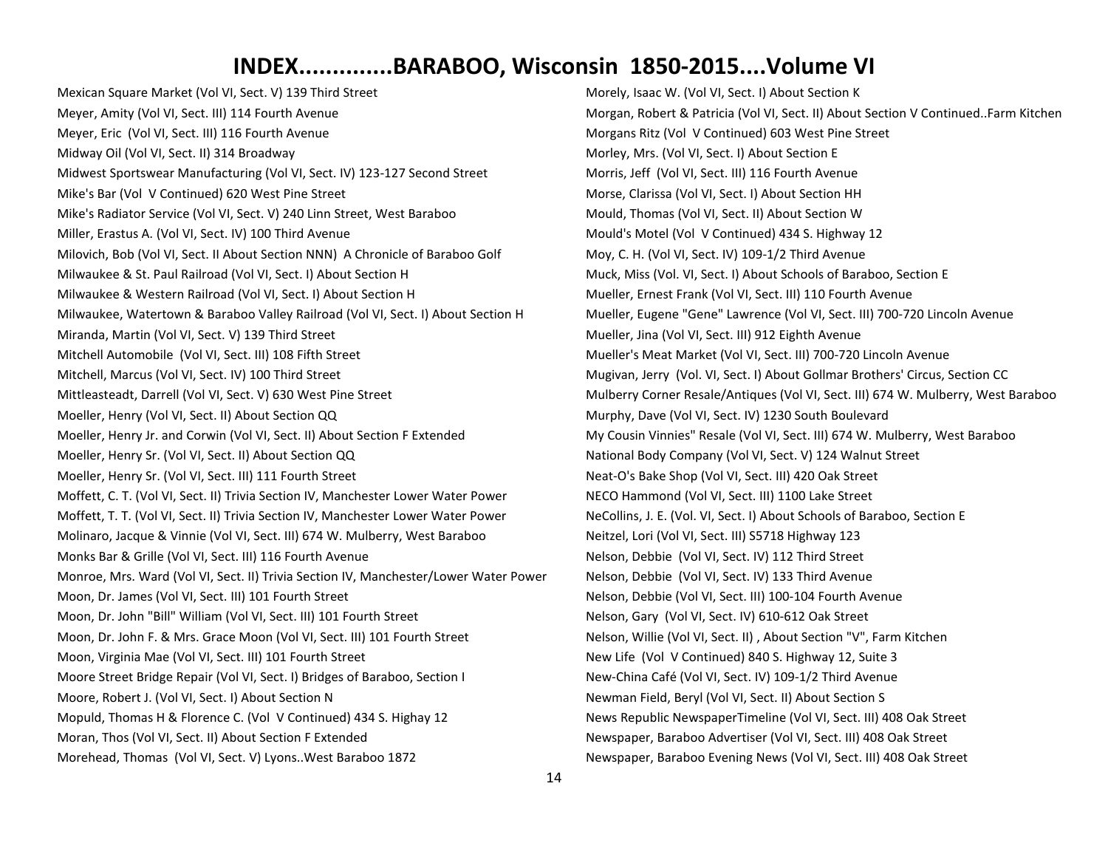Mexican Square Market (Vol VI, Sect. V) 139 Third Street Meyer, Amity (Vol VI, Sect. III) 114 Fourth Avenue Meyer, Eric (Vol VI, Sect. III) 116 Fourth Avenue Midway Oil (Vol VI, Sect. II) 314 Broadway Midwest Sportswear Manufacturing (Vol VI, Sect. IV) 123-127 Second Street Mike's Bar (Vol V Continued) 620 West Pine Street Mike's Radiator Service (Vol VI, Sect. V) 240 Linn Street, West Baraboo Miller, Erastus A. (Vol VI, Sect. IV) 100 Third Avenue Milovich, Bob (Vol VI, Sect. II About Section NNN) A Chronicle of Baraboo Golf Milwaukee & St. Paul Railroad (Vol VI, Sect. I) About Section H Milwaukee & Western Railroad (Vol VI, Sect. I) About Section H Milwaukee, Watertown & Baraboo Valley Railroad (Vol VI, Sect. I) About Section H Miranda, Martin (Vol VI, Sect. V) 139 Third Street Mitchell Automobile (Vol VI, Sect. III) 108 Fifth Street Mitchell, Marcus (Vol VI, Sect. IV) 100 Third Street Mittleasteadt, Darrell (Vol VI, Sect. V) 630 West Pine Street Moeller, Henry (Vol VI, Sect. II) About Section QQ Moeller, Henry Jr. and Corwin (Vol VI, Sect. II) About Section F Extended Moeller, Henry Sr. (Vol VI, Sect. II) About Section QQ Moeller, Henry Sr. (Vol VI, Sect. III) 111 Fourth Street Moffett, C. T. (Vol VI, Sect. II) Trivia Section IV, Manchester Lower Water Power Moffett, T. T. (Vol VI, Sect. II) Trivia Section IV, Manchester Lower Water Power Molinaro, Jacque & Vinnie (Vol VI, Sect. III) 674 W. Mulberry, West Baraboo Monks Bar & Grille (Vol VI, Sect. III) 116 Fourth Avenue Monroe, Mrs. Ward (Vol VI, Sect. II) Trivia Section IV, Manchester/Lower Water Power Moon, Dr. James (Vol VI, Sect. III) 101 Fourth Street Moon, Dr. John "Bill" William (Vol VI, Sect. III) 101 Fourth Street Moon, Dr. John F. & Mrs. Grace Moon (Vol VI, Sect. III) 101 Fourth Street Moon, Virginia Mae (Vol VI, Sect. III) 101 Fourth Street Moore Street Bridge Repair (Vol VI, Sect. I) Bridges of Baraboo, Section I Moore, Robert J. (Vol VI, Sect. I) About Section N Mopuld, Thomas H & Florence C. (Vol V Continued) 434 S. Highay 12 Moran, Thos (Vol VI, Sect. II) About Section F Extended Morehead, Thomas (Vol VI, Sect. V) Lyons..West Baraboo 1872

Morely, Isaac W. (Vol VI, Sect. I) About Section K Morgan, Robert & Patricia (Vol VI, Sect. II) About Section V Continued..Farm Kitchen Morgans Ritz (Vol V Continued) 603 West Pine Street Morley, Mrs. (Vol VI, Sect. I) About Section E Morris, Jeff (Vol VI, Sect. III) 116 Fourth Avenue Morse, Clarissa (Vol VI, Sect. I) About Section HH Mould, Thomas (Vol VI, Sect. II) About Section W Mould's Motel (Vol V Continued) 434 S. Highway 12 Moy, C. H. (Vol VI, Sect. IV) 109-1/2 Third Avenue Muck, Miss (Vol. VI, Sect. I) About Schools of Baraboo, Section E Mueller, Ernest Frank (Vol VI, Sect. III) 110 Fourth Avenue Mueller, Eugene "Gene" Lawrence (Vol VI, Sect. III) 700-720 Lincoln Avenue Mueller, Jina (Vol VI, Sect. III) 912 Eighth Avenue Mueller's Meat Market (Vol VI, Sect. III) 700-720 Lincoln Avenue Mugivan, Jerry (Vol. VI, Sect. I) About Gollmar Brothers' Circus, Section CC Mulberry Corner Resale/Antiques (Vol VI, Sect. III) 674 W. Mulberry, West Baraboo Murphy, Dave (Vol VI, Sect. IV) 1230 South Boulevard My Cousin Vinnies" Resale (Vol VI, Sect. III) 674 W. Mulberry, West Baraboo National Body Company (Vol VI, Sect. V) 124 Walnut Street Neat-O's Bake Shop (Vol VI, Sect. III) 420 Oak Street NECO Hammond (Vol VI, Sect. III) 1100 Lake Street NeCollins, J. E. (Vol. VI, Sect. I) About Schools of Baraboo, Section E Neitzel, Lori (Vol VI, Sect. III) S5718 Highway 123 Nelson, Debbie (Vol VI, Sect. IV) 112 Third Street Nelson, Debbie (Vol VI, Sect. IV) 133 Third Avenue Nelson, Debbie (Vol VI, Sect. III) 100-104 Fourth Avenue Nelson, Gary (Vol VI, Sect. IV) 610-612 Oak Street Nelson, Willie (Vol VI, Sect. II) , About Section "V", Farm Kitchen New Life (Vol V Continued) 840 S. Highway 12, Suite 3 New-China Café (Vol VI, Sect. IV) 109-1/2 Third Avenue Newman Field, Beryl (Vol VI, Sect. II) About Section S News Republic NewspaperTimeline (Vol VI, Sect. III) 408 Oak Street Newspaper, Baraboo Advertiser (Vol VI, Sect. III) 408 Oak Street Newspaper, Baraboo Evening News (Vol VI, Sect. III) 408 Oak Street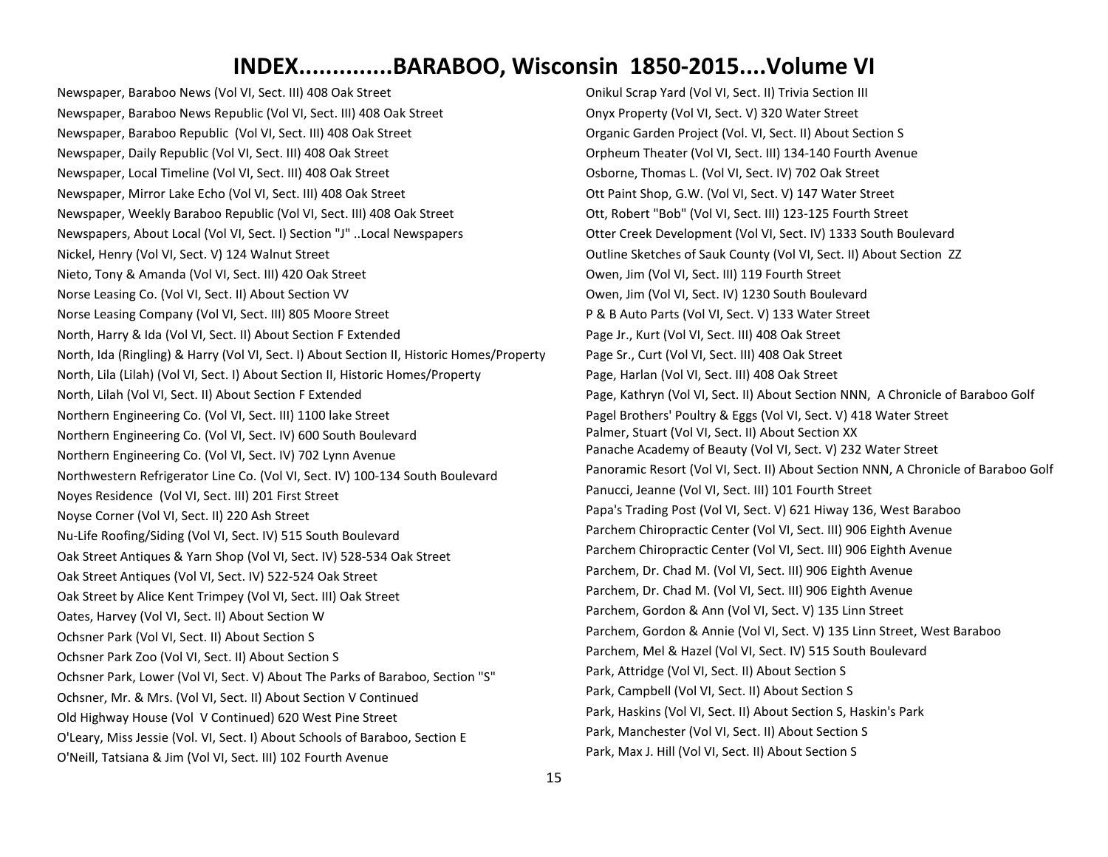Newspaper, Baraboo News (Vol VI, Sect. III) 408 Oak Street Newspaper, Baraboo News Republic (Vol VI, Sect. III) 408 Oak Street Newspaper, Baraboo Republic (Vol VI, Sect. III) 408 Oak Street Newspaper, Daily Republic (Vol VI, Sect. III) 408 Oak Street Newspaper, Local Timeline (Vol VI, Sect. III) 408 Oak Street Newspaper, Mirror Lake Echo (Vol VI, Sect. III) 408 Oak Street Newspaper, Weekly Baraboo Republic (Vol VI, Sect. III) 408 Oak Street Newspapers, About Local (Vol VI, Sect. I) Section "J" ..Local Newspapers Nickel, Henry (Vol VI, Sect. V) 124 Walnut Street Nieto, Tony & Amanda (Vol VI, Sect. III) 420 Oak Street Norse Leasing Co. (Vol VI, Sect. II) About Section VV Norse Leasing Company (Vol VI, Sect. III) 805 Moore Street North, Harry & Ida (Vol VI, Sect. II) About Section F Extended North, Ida (Ringling) & Harry (Vol VI, Sect. I) About Section II, Historic Homes/Property North, Lila (Lilah) (Vol VI, Sect. I) About Section II, Historic Homes/Property North, Lilah (Vol VI, Sect. II) About Section F Extended Northern Engineering Co. (Vol VI, Sect. III) 1100 lake Street Northern Engineering Co. (Vol VI, Sect. IV) 600 South Boulevard Northern Engineering Co. (Vol VI, Sect. IV) 702 Lynn Avenue Northwestern Refrigerator Line Co. (Vol VI, Sect. IV) 100-134 South Boulevard Noyes Residence (Vol VI, Sect. III) 201 First Street Noyse Corner (Vol VI, Sect. II) 220 Ash Street Nu-Life Roofing/Siding (Vol VI, Sect. IV) 515 South Boulevard Oak Street Antiques & Yarn Shop (Vol VI, Sect. IV) 528-534 Oak Street Oak Street Antiques (Vol VI, Sect. IV) 522-524 Oak Street Oak Street by Alice Kent Trimpey (Vol VI, Sect. III) Oak Street Oates, Harvey (Vol VI, Sect. II) About Section W Ochsner Park (Vol VI, Sect. II) About Section S Ochsner Park Zoo (Vol VI, Sect. II) About Section S Ochsner Park, Lower (Vol VI, Sect. V) About The Parks of Baraboo, Section "S" Ochsner, Mr. & Mrs. (Vol VI, Sect. II) About Section V Continued Old Highway House (Vol V Continued) 620 West Pine Street O'Leary, Miss Jessie (Vol. VI, Sect. I) About Schools of Baraboo, Section E O'Neill, Tatsiana & Jim (Vol VI, Sect. III) 102 Fourth Avenue

Onikul Scrap Yard (Vol VI, Sect. II) Trivia Section III Onyx Property (Vol VI, Sect. V) 320 Water Street Organic Garden Project (Vol. VI, Sect. II) About Section S Orpheum Theater (Vol VI, Sect. III) 134-140 Fourth Avenue Osborne, Thomas L. (Vol VI, Sect. IV) 702 Oak Street Ott Paint Shop, G.W. (Vol VI, Sect. V) 147 Water Street Ott, Robert "Bob" (Vol VI, Sect. III) 123-125 Fourth Street Otter Creek Development (Vol VI, Sect. IV) 1333 South Boulevard Outline Sketches of Sauk County (Vol VI, Sect. II) About Section ZZ Owen, Jim (Vol VI, Sect. III) 119 Fourth Street Owen, Jim (Vol VI, Sect. IV) 1230 South Boulevard P & B Auto Parts (Vol VI, Sect. V) 133 Water Street Page Jr., Kurt (Vol VI, Sect. III) 408 Oak Street Page Sr., Curt (Vol VI, Sect. III) 408 Oak Street Page, Harlan (Vol VI, Sect. III) 408 Oak Street Page, Kathryn (Vol VI, Sect. II) About Section NNN, A Chronicle of Baraboo Golf Pagel Brothers' Poultry & Eggs (Vol VI, Sect. V) 418 Water Street Palmer, Stuart (Vol VI, Sect. II) About Section XX Panache Academy of Beauty (Vol VI, Sect. V) 232 Water Street Panoramic Resort (Vol VI, Sect. II) About Section NNN, A Chronicle of Baraboo Golf Panucci, Jeanne (Vol VI, Sect. III) 101 Fourth Street Papa's Trading Post (Vol VI, Sect. V) 621 Hiway 136, West Baraboo Parchem Chiropractic Center (Vol VI, Sect. III) 906 Eighth Avenue Parchem Chiropractic Center (Vol VI, Sect. III) 906 Eighth Avenue Parchem, Dr. Chad M. (Vol VI, Sect. III) 906 Eighth Avenue Parchem, Dr. Chad M. (Vol VI, Sect. III) 906 Eighth Avenue Parchem, Gordon & Ann (Vol VI, Sect. V) 135 Linn Street Parchem, Gordon & Annie (Vol VI, Sect. V) 135 Linn Street, West Baraboo Parchem, Mel & Hazel (Vol VI, Sect. IV) 515 South Boulevard Park, Attridge (Vol VI, Sect. II) About Section S Park, Campbell (Vol VI, Sect. II) About Section S Park, Haskins (Vol VI, Sect. II) About Section S, Haskin's Park Park, Manchester (Vol VI, Sect. II) About Section S Park, Max J. Hill (Vol VI, Sect. II) About Section S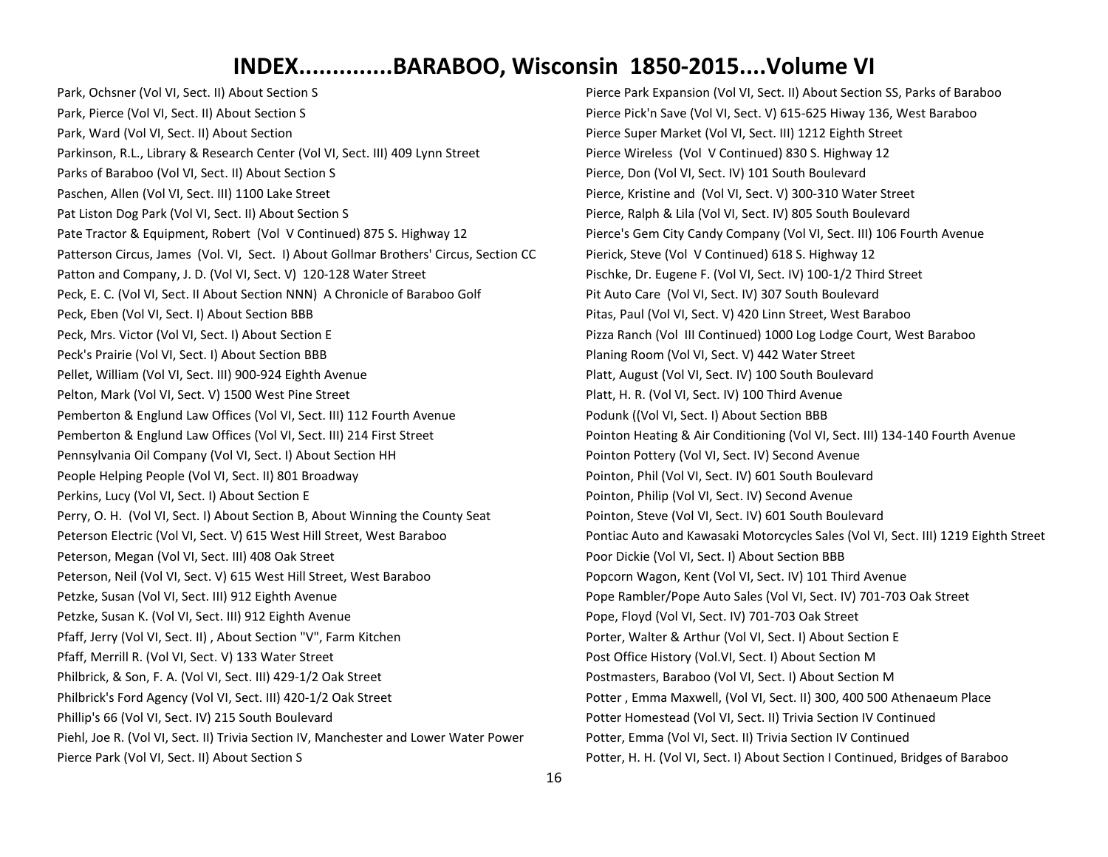Park, Ochsner (Vol VI, Sect. II) About Section S Park, Pierce (Vol VI, Sect. II) About Section S Park, Ward (Vol VI, Sect. II) About Section Parkinson, R.L., Library & Research Center (Vol VI, Sect. III) 409 Lynn Street Parks of Baraboo (Vol VI, Sect. II) About Section S Paschen, Allen (Vol VI, Sect. III) 1100 Lake Street Pat Liston Dog Park (Vol VI, Sect. II) About Section S Pate Tractor & Equipment, Robert (Vol V Continued) 875 S. Highway 12 Patterson Circus, James (Vol. VI, Sect. I) About Gollmar Brothers' Circus, Section CC Patton and Company, J. D. (Vol VI, Sect. V) 120-128 Water Street Peck, E. C. (Vol VI, Sect. II About Section NNN) A Chronicle of Baraboo Golf Peck, Eben (Vol VI, Sect. I) About Section BBB Peck, Mrs. Victor (Vol VI, Sect. I) About Section E Peck's Prairie (Vol VI, Sect. I) About Section BBB Pellet, William (Vol VI, Sect. III) 900-924 Eighth Avenue Pelton, Mark (Vol VI, Sect. V) 1500 West Pine Street Pemberton & Englund Law Offices (Vol VI, Sect. III) 112 Fourth Avenue Pemberton & Englund Law Offices (Vol VI, Sect. III) 214 First Street Pennsylvania Oil Company (Vol VI, Sect. I) About Section HH People Helping People (Vol VI, Sect. II) 801 Broadway Perkins, Lucy (Vol VI, Sect. I) About Section E Perry, O. H. (Vol VI, Sect. I) About Section B, About Winning the County Seat Peterson Electric (Vol VI, Sect. V) 615 West Hill Street, West Baraboo Peterson, Megan (Vol VI, Sect. III) 408 Oak Street Peterson, Neil (Vol VI, Sect. V) 615 West Hill Street, West Baraboo Petzke, Susan (Vol VI, Sect. III) 912 Eighth Avenue Petzke, Susan K. (Vol VI, Sect. III) 912 Eighth Avenue Pfaff, Jerry (Vol VI, Sect. II) , About Section "V", Farm Kitchen Pfaff, Merrill R. (Vol VI, Sect. V) 133 Water Street Philbrick, & Son, F. A. (Vol VI, Sect. III) 429-1/2 Oak Street Philbrick's Ford Agency (Vol VI, Sect. III) 420-1/2 Oak Street Phillip's 66 (Vol VI, Sect. IV) 215 South Boulevard Piehl, Joe R. (Vol VI, Sect. II) Trivia Section IV, Manchester and Lower Water Power Pierce Park (Vol VI, Sect. II) About Section S

Pierce Park Expansion (Vol VI, Sect. II) About Section SS, Parks of Baraboo Pierce Pick'n Save (Vol VI, Sect. V) 615-625 Hiway 136, West Baraboo Pierce Super Market (Vol VI, Sect. III) 1212 Eighth Street Pierce Wireless (Vol V Continued) 830 S. Highway 12 Pierce, Don (Vol VI, Sect. IV) 101 South Boulevard Pierce, Kristine and (Vol VI, Sect. V) 300-310 Water Street Pierce, Ralph & Lila (Vol VI, Sect. IV) 805 South Boulevard Pierce's Gem City Candy Company (Vol VI, Sect. III) 106 Fourth Avenue Pierick, Steve (Vol V Continued) 618 S. Highway 12 Pischke, Dr. Eugene F. (Vol VI, Sect. IV) 100-1/2 Third Street Pit Auto Care (Vol VI, Sect. IV) 307 South Boulevard Pitas, Paul (Vol VI, Sect. V) 420 Linn Street, West Baraboo Pizza Ranch (Vol III Continued) 1000 Log Lodge Court, West Baraboo Planing Room (Vol VI, Sect. V) 442 Water Street Platt, August (Vol VI, Sect. IV) 100 South Boulevard Platt, H. R. (Vol VI, Sect. IV) 100 Third Avenue Podunk ((Vol VI, Sect. I) About Section BBB Pointon Heating & Air Conditioning (Vol VI, Sect. III) 134-140 Fourth Avenue Pointon Pottery (Vol VI, Sect. IV) Second Avenue Pointon, Phil (Vol VI, Sect. IV) 601 South Boulevard Pointon, Philip (Vol VI, Sect. IV) Second Avenue Pointon, Steve (Vol VI, Sect. IV) 601 South Boulevard Pontiac Auto and Kawasaki Motorcycles Sales (Vol VI, Sect. III) 1219 Eighth Street Poor Dickie (Vol VI, Sect. I) About Section BBB Popcorn Wagon, Kent (Vol VI, Sect. IV) 101 Third Avenue Pope Rambler/Pope Auto Sales (Vol VI, Sect. IV) 701-703 Oak Street Pope, Floyd (Vol VI, Sect. IV) 701-703 Oak Street Porter, Walter & Arthur (Vol VI, Sect. I) About Section E Post Office History (Vol.VI, Sect. I) About Section M Postmasters, Baraboo (Vol VI, Sect. I) About Section M Potter , Emma Maxwell, (Vol VI, Sect. II) 300, 400 500 Athenaeum Place Potter Homestead (Vol VI, Sect. II) Trivia Section IV Continued Potter, Emma (Vol VI, Sect. II) Trivia Section IV Continued Potter, H. H. (Vol VI, Sect. I) About Section I Continued, Bridges of Baraboo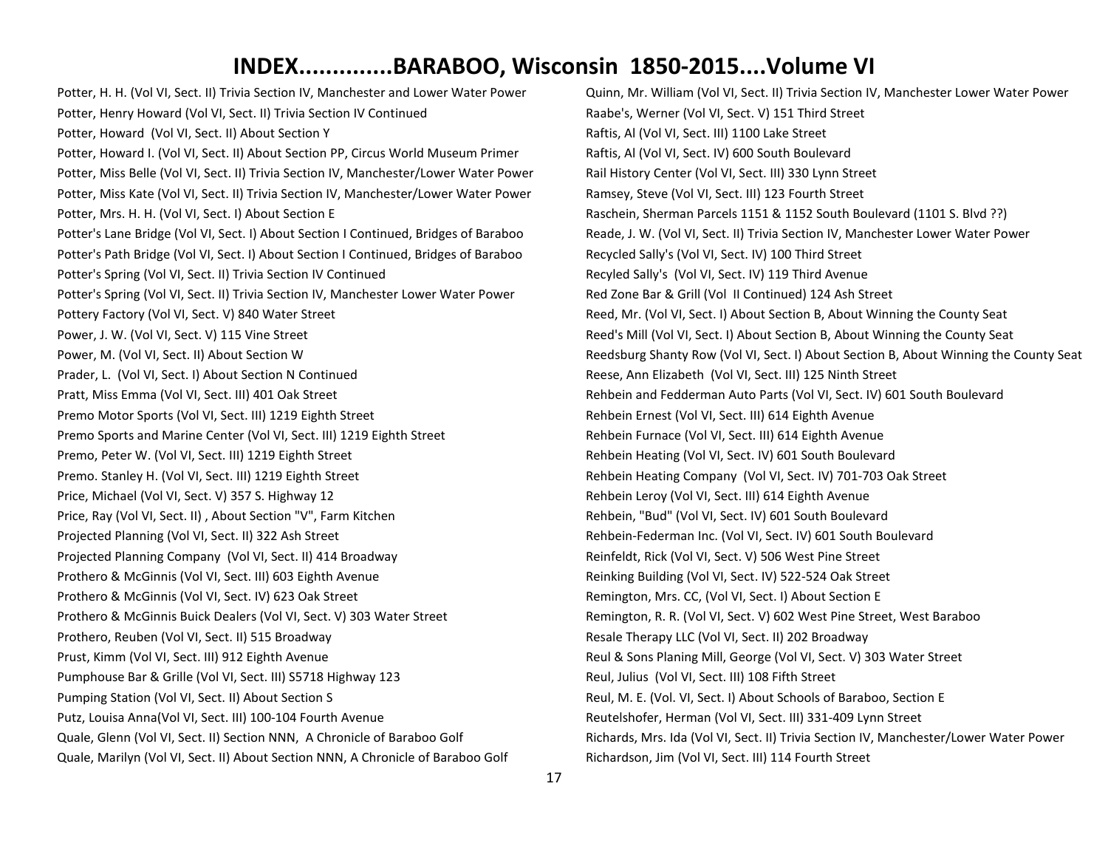Potter, H. H. (Vol VI, Sect. II) Trivia Section IV, Manchester and Lower Water Power Potter, Henry Howard (Vol VI, Sect. II) Trivia Section IV Continued Potter, Howard (Vol VI, Sect. II) About Section Y Potter, Howard I. (Vol VI, Sect. II) About Section PP, Circus World Museum Primer Potter, Miss Belle (Vol VI, Sect. II) Trivia Section IV, Manchester/Lower Water Power Potter, Miss Kate (Vol VI, Sect. II) Trivia Section IV, Manchester/Lower Water Power Potter, Mrs. H. H. (Vol VI, Sect. I) About Section E Potter's Lane Bridge (Vol VI, Sect. I) About Section I Continued, Bridges of Baraboo Potter's Path Bridge (Vol VI, Sect. I) About Section I Continued, Bridges of Baraboo Potter's Spring (Vol VI, Sect. II) Trivia Section IV Continued Potter's Spring (Vol VI, Sect. II) Trivia Section IV, Manchester Lower Water Power Pottery Factory (Vol VI, Sect. V) 840 Water Street Power, J. W. (Vol VI, Sect. V) 115 Vine Street Power, M. (Vol VI, Sect. II) About Section W Prader, L. (Vol VI, Sect. I) About Section N Continued Pratt, Miss Emma (Vol VI, Sect. III) 401 Oak Street Premo Motor Sports (Vol VI, Sect. III) 1219 Eighth Street Premo Sports and Marine Center (Vol VI, Sect. III) 1219 Eighth Street Premo, Peter W. (Vol VI, Sect. III) 1219 Eighth Street Premo. Stanley H. (Vol VI, Sect. III) 1219 Eighth Street Price, Michael (Vol VI, Sect. V) 357 S. Highway 12 Price, Ray (Vol VI, Sect. II) , About Section "V", Farm Kitchen Projected Planning (Vol VI, Sect. II) 322 Ash Street Projected Planning Company (Vol VI, Sect. II) 414 Broadway Prothero & McGinnis (Vol VI, Sect. III) 603 Eighth Avenue Prothero & McGinnis (Vol VI, Sect. IV) 623 Oak Street Prothero & McGinnis Buick Dealers (Vol VI, Sect. V) 303 Water Street Prothero, Reuben (Vol VI, Sect. II) 515 Broadway Prust, Kimm (Vol VI, Sect. III) 912 Eighth Avenue Pumphouse Bar & Grille (Vol VI, Sect. III) S5718 Highway 123 Pumping Station (Vol VI, Sect. II) About Section S Putz, Louisa Anna(Vol VI, Sect. III) 100-104 Fourth Avenue Quale, Glenn (Vol VI, Sect. II) Section NNN, A Chronicle of Baraboo Golf Quale, Marilyn (Vol VI, Sect. II) About Section NNN, A Chronicle of Baraboo Golf

Quinn, Mr. William (Vol VI, Sect. II) Trivia Section IV, Manchester Lower Water Power Raabe's, Werner (Vol VI, Sect. V) 151 Third Street Raftis, Al (Vol VI, Sect. III) 1100 Lake Street Raftis, Al (Vol VI, Sect. IV) 600 South Boulevard Rail History Center (Vol VI, Sect. III) 330 Lynn Street Ramsey, Steve (Vol VI, Sect. III) 123 Fourth Street Raschein, Sherman Parcels 1151 & 1152 South Boulevard (1101 S. Blvd ??) Reade, J. W. (Vol VI, Sect. II) Trivia Section IV, Manchester Lower Water Power Recycled Sally's (Vol VI, Sect. IV) 100 Third Street Recyled Sally's (Vol VI, Sect. IV) 119 Third Avenue Red Zone Bar & Grill (Vol II Continued) 124 Ash Street Reed, Mr. (Vol VI, Sect. I) About Section B, About Winning the County Seat Reed's Mill (Vol VI, Sect. I) About Section B, About Winning the County Seat Reedsburg Shanty Row (Vol VI, Sect. I) About Section B, About Winning the County Seat Reese, Ann Elizabeth (Vol VI, Sect. III) 125 Ninth Street Rehbein and Fedderman Auto Parts (Vol VI, Sect. IV) 601 South Boulevard Rehbein Ernest (Vol VI, Sect. III) 614 Eighth Avenue Rehbein Furnace (Vol VI, Sect. III) 614 Eighth Avenue Rehbein Heating (Vol VI, Sect. IV) 601 South Boulevard Rehbein Heating Company (Vol VI, Sect. IV) 701-703 Oak Street Rehbein Leroy (Vol VI, Sect. III) 614 Eighth Avenue Rehbein, "Bud" (Vol VI, Sect. IV) 601 South Boulevard Rehbein-Federman Inc. (Vol VI, Sect. IV) 601 South Boulevard Reinfeldt, Rick (Vol VI, Sect. V) 506 West Pine Street Reinking Building (Vol VI, Sect. IV) 522-524 Oak Street Remington, Mrs. CC, (Vol VI, Sect. I) About Section E Remington, R. R. (Vol VI, Sect. V) 602 West Pine Street, West Baraboo Resale Therapy LLC (Vol VI, Sect. II) 202 Broadway Reul & Sons Planing Mill, George (Vol VI, Sect. V) 303 Water Street Reul, Julius (Vol VI, Sect. III) 108 Fifth Street Reul, M. E. (Vol. VI, Sect. I) About Schools of Baraboo, Section E Reutelshofer, Herman (Vol VI, Sect. III) 331-409 Lynn Street Richards, Mrs. Ida (Vol VI, Sect. II) Trivia Section IV, Manchester/Lower Water Power Richardson, Jim (Vol VI, Sect. III) 114 Fourth Street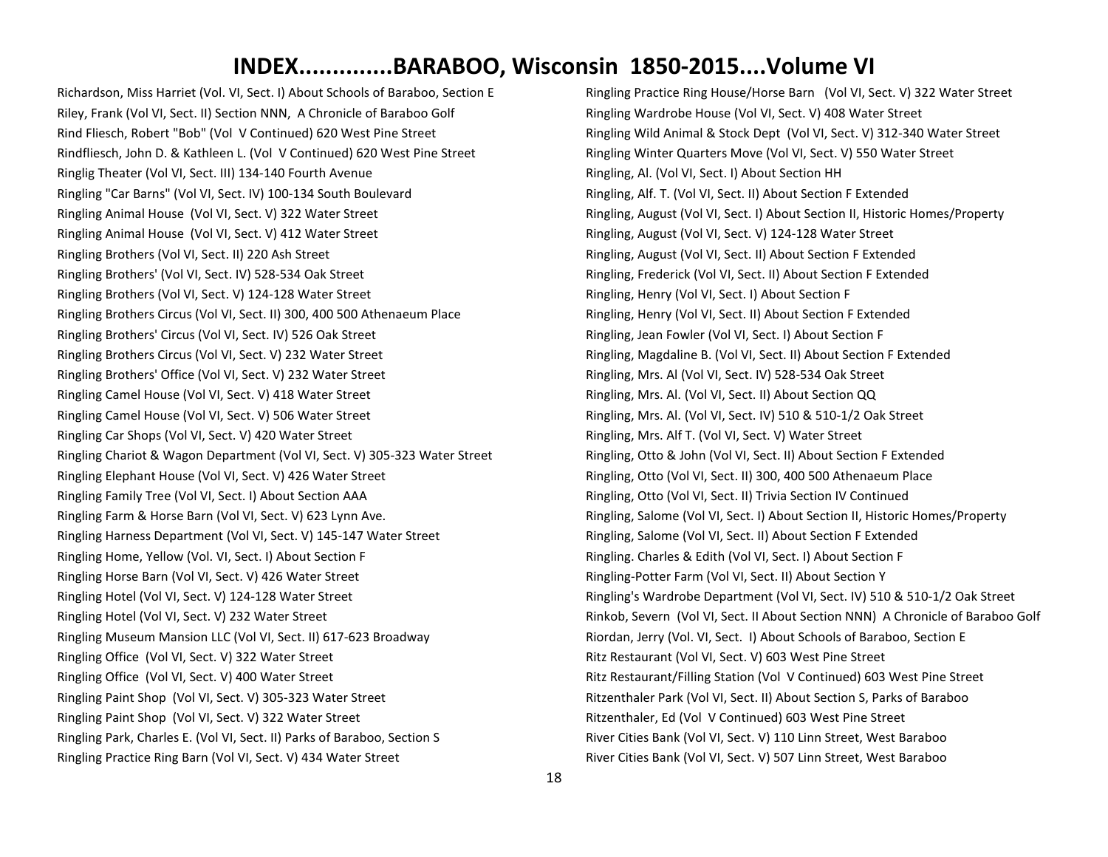Richardson, Miss Harriet (Vol. VI, Sect. I) About Schools of Baraboo, Section E Riley, Frank (Vol VI, Sect. II) Section NNN, A Chronicle of Baraboo Golf Rind Fliesch, Robert "Bob" (Vol V Continued) 620 West Pine Street Rindfliesch, John D. & Kathleen L. (Vol V Continued) 620 West Pine Street Ringlig Theater (Vol VI, Sect. III) 134-140 Fourth Avenue Ringling "Car Barns" (Vol VI, Sect. IV) 100-134 South Boulevard Ringling Animal House (Vol VI, Sect. V) 322 Water Street Ringling Animal House (Vol VI, Sect. V) 412 Water Street Ringling Brothers (Vol VI, Sect. II) 220 Ash Street Ringling Brothers' (Vol VI, Sect. IV) 528-534 Oak Street Ringling Brothers (Vol VI, Sect. V) 124-128 Water Street Ringling Brothers Circus (Vol VI, Sect. II) 300, 400 500 Athenaeum Place Ringling Brothers' Circus (Vol VI, Sect. IV) 526 Oak Street Ringling Brothers Circus (Vol VI, Sect. V) 232 Water Street Ringling Brothers' Office (Vol VI, Sect. V) 232 Water Street Ringling Camel House (Vol VI, Sect. V) 418 Water Street Ringling Camel House (Vol VI, Sect. V) 506 Water Street Ringling Car Shops (Vol VI, Sect. V) 420 Water Street Ringling Chariot & Wagon Department (Vol VI, Sect. V) 305-323 Water Street Ringling Elephant House (Vol VI, Sect. V) 426 Water Street Ringling Family Tree (Vol VI, Sect. I) About Section AAA Ringling Farm & Horse Barn (Vol VI, Sect. V) 623 Lynn Ave. Ringling Harness Department (Vol VI, Sect. V) 145-147 Water Street Ringling Home, Yellow (Vol. VI, Sect. I) About Section F Ringling Horse Barn (Vol VI, Sect. V) 426 Water Street Ringling Hotel (Vol VI, Sect. V) 124-128 Water Street Ringling Hotel (Vol VI, Sect. V) 232 Water Street Ringling Museum Mansion LLC (Vol VI, Sect. II) 617-623 Broadway Ringling Office (Vol VI, Sect. V) 322 Water Street Ringling Office (Vol VI, Sect. V) 400 Water Street Ringling Paint Shop (Vol VI, Sect. V) 305-323 Water Street Ringling Paint Shop (Vol VI, Sect. V) 322 Water Street Ringling Park, Charles E. (Vol VI, Sect. II) Parks of Baraboo, Section S Ringling Practice Ring Barn (Vol VI, Sect. V) 434 Water Street

Ringling Practice Ring House/Horse Barn (Vol VI, Sect. V) 322 Water Street Ringling Wardrobe House (Vol VI, Sect. V) 408 Water Street Ringling Wild Animal & Stock Dept (Vol VI, Sect. V) 312-340 Water Street Ringling Winter Quarters Move (Vol VI, Sect. V) 550 Water Street Ringling, Al. (Vol VI, Sect. I) About Section HH Ringling, Alf. T. (Vol VI, Sect. II) About Section F Extended Ringling, August (Vol VI, Sect. I) About Section II, Historic Homes/Property Ringling, August (Vol VI, Sect. V) 124-128 Water Street Ringling, August (Vol VI, Sect. II) About Section F Extended Ringling, Frederick (Vol VI, Sect. II) About Section F Extended Ringling, Henry (Vol VI, Sect. I) About Section F Ringling, Henry (Vol VI, Sect. II) About Section F Extended Ringling, Jean Fowler (Vol VI, Sect. I) About Section F Ringling, Magdaline B. (Vol VI, Sect. II) About Section F Extended Ringling, Mrs. Al (Vol VI, Sect. IV) 528-534 Oak Street Ringling, Mrs. Al. (Vol VI, Sect. II) About Section QQ Ringling, Mrs. Al. (Vol VI, Sect. IV) 510 & 510-1/2 Oak Street Ringling, Mrs. Alf T. (Vol VI, Sect. V) Water Street Ringling, Otto & John (Vol VI, Sect. II) About Section F Extended Ringling, Otto (Vol VI, Sect. II) 300, 400 500 Athenaeum Place Ringling, Otto (Vol VI, Sect. II) Trivia Section IV Continued Ringling, Salome (Vol VI, Sect. I) About Section II, Historic Homes/Property Ringling, Salome (Vol VI, Sect. II) About Section F Extended Ringling. Charles & Edith (Vol VI, Sect. I) About Section F Ringling-Potter Farm (Vol VI, Sect. II) About Section Y Ringling's Wardrobe Department (Vol VI, Sect. IV) 510 & 510-1/2 Oak Street Rinkob, Severn (Vol VI, Sect. II About Section NNN) A Chronicle of Baraboo Golf Riordan, Jerry (Vol. VI, Sect. I) About Schools of Baraboo, Section E Ritz Restaurant (Vol VI, Sect. V) 603 West Pine Street Ritz Restaurant/Filling Station (Vol V Continued) 603 West Pine Street Ritzenthaler Park (Vol VI, Sect. II) About Section S, Parks of Baraboo Ritzenthaler, Ed (Vol V Continued) 603 West Pine Street River Cities Bank (Vol VI, Sect. V) 110 Linn Street, West Baraboo River Cities Bank (Vol VI, Sect. V) 507 Linn Street, West Baraboo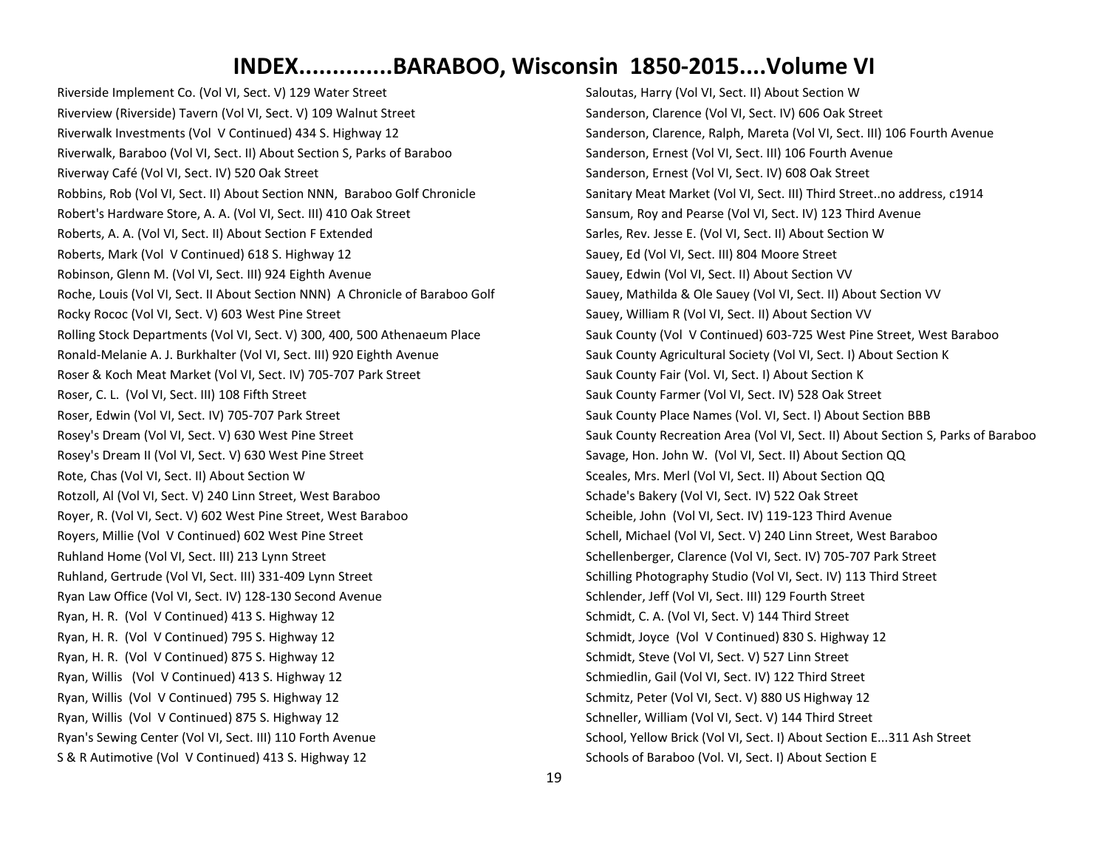Riverside Implement Co. (Vol VI, Sect. V) 129 Water Street Riverview (Riverside) Tavern (Vol VI, Sect. V) 109 Walnut Street Riverwalk Investments (Vol V Continued) 434 S. Highway 12 Riverwalk, Baraboo (Vol VI, Sect. II) About Section S, Parks of Baraboo Riverway Café (Vol VI, Sect. IV) 520 Oak Street Robbins, Rob (Vol VI, Sect. II) About Section NNN, Baraboo Golf Chronicle Robert's Hardware Store, A. A. (Vol VI, Sect. III) 410 Oak Street Roberts, A. A. (Vol VI, Sect. II) About Section F Extended Roberts, Mark (Vol V Continued) 618 S. Highway 12 Robinson, Glenn M. (Vol VI, Sect. III) 924 Eighth Avenue Roche, Louis (Vol VI, Sect. II About Section NNN) A Chronicle of Baraboo Golf Rocky Rococ (Vol VI, Sect. V) 603 West Pine Street Rolling Stock Departments (Vol VI, Sect. V) 300, 400, 500 Athenaeum Place Ronald-Melanie A. J. Burkhalter (Vol VI, Sect. III) 920 Eighth Avenue Roser & Koch Meat Market (Vol VI, Sect. IV) 705-707 Park Street Roser, C. L. (Vol VI, Sect. III) 108 Fifth Street Roser, Edwin (Vol VI, Sect. IV) 705-707 Park Street Rosey's Dream (Vol VI, Sect. V) 630 West Pine Street Rosey's Dream II (Vol VI, Sect. V) 630 West Pine Street Rote, Chas (Vol VI, Sect. II) About Section W Rotzoll, Al (Vol VI, Sect. V) 240 Linn Street, West Baraboo Royer, R. (Vol VI, Sect. V) 602 West Pine Street, West Baraboo Royers, Millie (Vol V Continued) 602 West Pine Street Ruhland Home (Vol VI, Sect. III) 213 Lynn Street Ruhland, Gertrude (Vol VI, Sect. III) 331-409 Lynn Street Ryan Law Office (Vol VI, Sect. IV) 128-130 Second Avenue Ryan, H. R. (Vol V Continued) 413 S. Highway 12 Ryan, H. R. (Vol V Continued) 795 S. Highway 12 Ryan, H. R. (Vol V Continued) 875 S. Highway 12 Ryan, Willis (Vol V Continued) 413 S. Highway 12 Ryan, Willis (Vol V Continued) 795 S. Highway 12 Ryan, Willis (Vol V Continued) 875 S. Highway 12 Ryan's Sewing Center (Vol VI, Sect. III) 110 Forth Avenue S & R Autimotive (Vol V Continued) 413 S. Highway 12

Saloutas, Harry (Vol VI, Sect. II) About Section W Sanderson, Clarence (Vol VI, Sect. IV) 606 Oak Street Sanderson, Clarence, Ralph, Mareta (Vol VI, Sect. III) 106 Fourth Avenue Sanderson, Ernest (Vol VI, Sect. III) 106 Fourth Avenue Sanderson, Ernest (Vol VI, Sect. IV) 608 Oak Street Sanitary Meat Market (Vol VI, Sect. III) Third Street..no address, c1914 Sansum, Roy and Pearse (Vol VI, Sect. IV) 123 Third Avenue Sarles, Rev. Jesse E. (Vol VI, Sect. II) About Section W Sauey, Ed (Vol VI, Sect. III) 804 Moore Street Sauey, Edwin (Vol VI, Sect. II) About Section VV Sauey, Mathilda & Ole Sauey (Vol VI, Sect. II) About Section VV Sauey, William R (Vol VI, Sect. II) About Section VV Sauk County (Vol V Continued) 603-725 West Pine Street, West Baraboo Sauk County Agricultural Society (Vol VI, Sect. I) About Section K Sauk County Fair (Vol. VI, Sect. I) About Section K Sauk County Farmer (Vol VI, Sect. IV) 528 Oak Street Sauk County Place Names (Vol. VI, Sect. I) About Section BBB Sauk County Recreation Area (Vol VI, Sect. II) About Section S, Parks of Baraboo Savage, Hon. John W. (Vol VI, Sect. II) About Section QQ Sceales, Mrs. Merl (Vol VI, Sect. II) About Section QQ Schade's Bakery (Vol VI, Sect. IV) 522 Oak Street Scheible, John (Vol VI, Sect. IV) 119-123 Third Avenue Schell, Michael (Vol VI, Sect. V) 240 Linn Street, West Baraboo Schellenberger, Clarence (Vol VI, Sect. IV) 705-707 Park Street Schilling Photography Studio (Vol VI, Sect. IV) 113 Third Street Schlender, Jeff (Vol VI, Sect. III) 129 Fourth Street Schmidt, C. A. (Vol VI, Sect. V) 144 Third Street Schmidt, Joyce (Vol V Continued) 830 S. Highway 12 Schmidt, Steve (Vol VI, Sect. V) 527 Linn Street Schmiedlin, Gail (Vol VI, Sect. IV) 122 Third Street Schmitz, Peter (Vol VI, Sect. V) 880 US Highway 12 Schneller, William (Vol VI, Sect. V) 144 Third Street School, Yellow Brick (Vol VI, Sect. I) About Section E...311 Ash Street Schools of Baraboo (Vol. VI, Sect. I) About Section E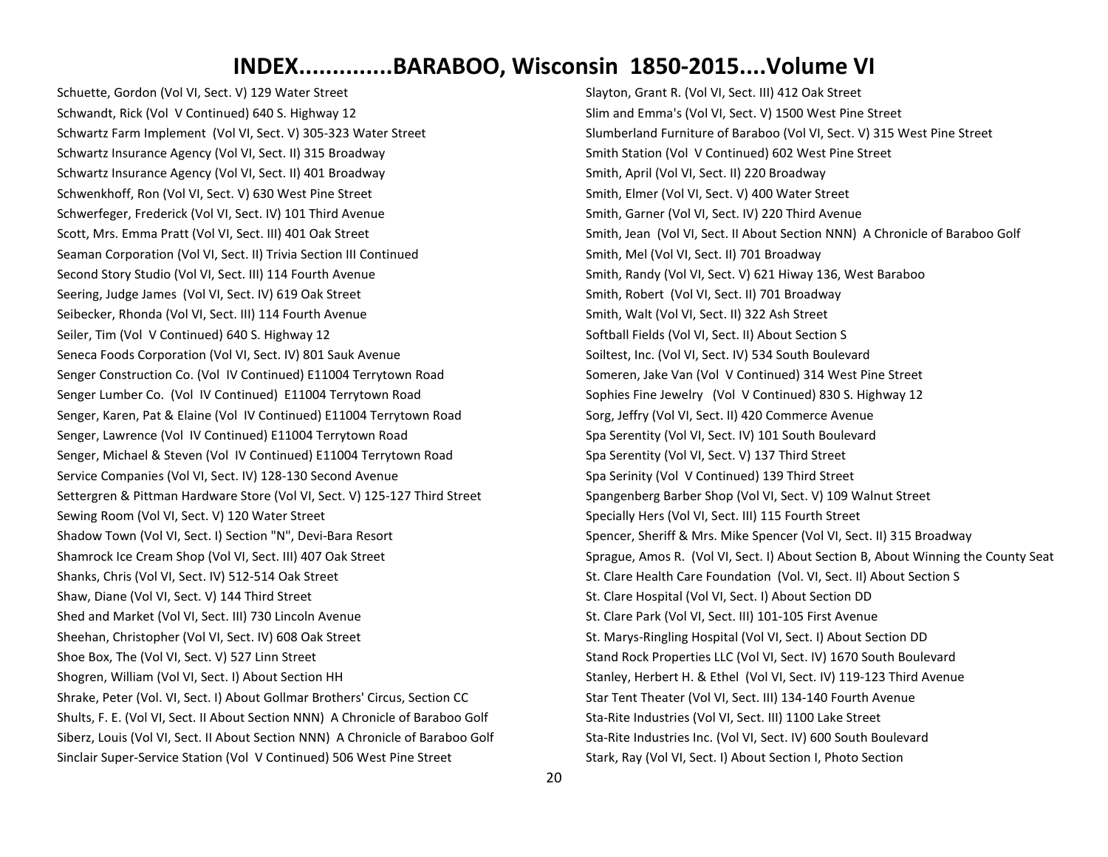Schuette, Gordon (Vol VI, Sect. V) 129 Water Street Schwandt, Rick (Vol V Continued) 640 S. Highway 12 Schwartz Farm Implement (Vol VI, Sect. V) 305-323 Water Street Schwartz Insurance Agency (Vol VI, Sect. II) 315 Broadway Schwartz Insurance Agency (Vol VI, Sect. II) 401 Broadway Schwenkhoff, Ron (Vol VI, Sect. V) 630 West Pine Street Schwerfeger, Frederick (Vol VI, Sect. IV) 101 Third Avenue Scott, Mrs. Emma Pratt (Vol VI, Sect. III) 401 Oak Street Seaman Corporation (Vol VI, Sect. II) Trivia Section III Continued Second Story Studio (Vol VI, Sect. III) 114 Fourth Avenue Seering, Judge James (Vol VI, Sect. IV) 619 Oak Street Seibecker, Rhonda (Vol VI, Sect. III) 114 Fourth Avenue Seiler, Tim (Vol V Continued) 640 S. Highway 12 Seneca Foods Corporation (Vol VI, Sect. IV) 801 Sauk Avenue Senger Construction Co. (Vol IV Continued) E11004 Terrytown Road Senger Lumber Co. (Vol IV Continued) E11004 Terrytown Road Senger, Karen, Pat & Elaine (Vol IV Continued) E11004 Terrytown Road Senger, Lawrence (Vol IV Continued) E11004 Terrytown Road Senger, Michael & Steven (Vol IV Continued) E11004 Terrytown Road Service Companies (Vol VI, Sect. IV) 128-130 Second Avenue Settergren & Pittman Hardware Store (Vol VI, Sect. V) 125-127 Third Street Sewing Room (Vol VI, Sect. V) 120 Water Street Shadow Town (Vol VI, Sect. I) Section "N", Devi-Bara Resort Shamrock Ice Cream Shop (Vol VI, Sect. III) 407 Oak Street Shanks, Chris (Vol VI, Sect. IV) 512-514 Oak Street Shaw, Diane (Vol VI, Sect. V) 144 Third Street Shed and Market (Vol VI, Sect. III) 730 Lincoln Avenue Sheehan, Christopher (Vol VI, Sect. IV) 608 Oak Street Shoe Box, The (Vol VI, Sect. V) 527 Linn Street Shogren, William (Vol VI, Sect. I) About Section HH Shrake, Peter (Vol. VI, Sect. I) About Gollmar Brothers' Circus, Section CC Shults, F. E. (Vol VI, Sect. II About Section NNN) A Chronicle of Baraboo Golf Siberz, Louis (Vol VI, Sect. II About Section NNN) A Chronicle of Baraboo Golf Sinclair Super-Service Station (Vol V Continued) 506 West Pine Street

Slayton, Grant R. (Vol VI, Sect. III) 412 Oak Street Slim and Emma's (Vol VI, Sect. V) 1500 West Pine Street Slumberland Furniture of Baraboo (Vol VI, Sect. V) 315 West Pine Street Smith Station (Vol V Continued) 602 West Pine Street Smith, April (Vol VI, Sect. II) 220 Broadway Smith, Elmer (Vol VI, Sect. V) 400 Water Street Smith, Garner (Vol VI, Sect. IV) 220 Third Avenue Smith, Jean (Vol VI, Sect. II About Section NNN) A Chronicle of Baraboo Golf Smith, Mel (Vol VI, Sect. II) 701 Broadway Smith, Randy (Vol VI, Sect. V) 621 Hiway 136, West Baraboo Smith, Robert (Vol VI, Sect. II) 701 Broadway Smith, Walt (Vol VI, Sect. II) 322 Ash Street Softball Fields (Vol VI, Sect. II) About Section S Soiltest, Inc. (Vol VI, Sect. IV) 534 South Boulevard Someren, Jake Van (Vol V Continued) 314 West Pine Street Sophies Fine Jewelry (Vol V Continued) 830 S. Highway 12 Sorg, Jeffry (Vol VI, Sect. II) 420 Commerce Avenue Spa Serentity (Vol VI, Sect. IV) 101 South Boulevard Spa Serentity (Vol VI, Sect. V) 137 Third Street Spa Serinity (Vol V Continued) 139 Third Street Spangenberg Barber Shop (Vol VI, Sect. V) 109 Walnut Street Specially Hers (Vol VI, Sect. III) 115 Fourth Street Spencer, Sheriff & Mrs. Mike Spencer (Vol VI, Sect. II) 315 Broadway Sprague, Amos R. (Vol VI, Sect. I) About Section B, About Winning the County Seat St. Clare Health Care Foundation (Vol. VI, Sect. II) About Section S St. Clare Hospital (Vol VI, Sect. I) About Section DD St. Clare Park (Vol VI, Sect. III) 101-105 First Avenue St. Marys-Ringling Hospital (Vol VI, Sect. I) About Section DD Stand Rock Properties LLC (Vol VI, Sect. IV) 1670 South Boulevard Stanley, Herbert H. & Ethel (Vol VI, Sect. IV) 119-123 Third Avenue Star Tent Theater (Vol VI, Sect. III) 134-140 Fourth Avenue Sta-Rite Industries (Vol VI, Sect. III) 1100 Lake Street Sta-Rite Industries Inc. (Vol VI, Sect. IV) 600 South Boulevard Stark, Ray (Vol VI, Sect. I) About Section I, Photo Section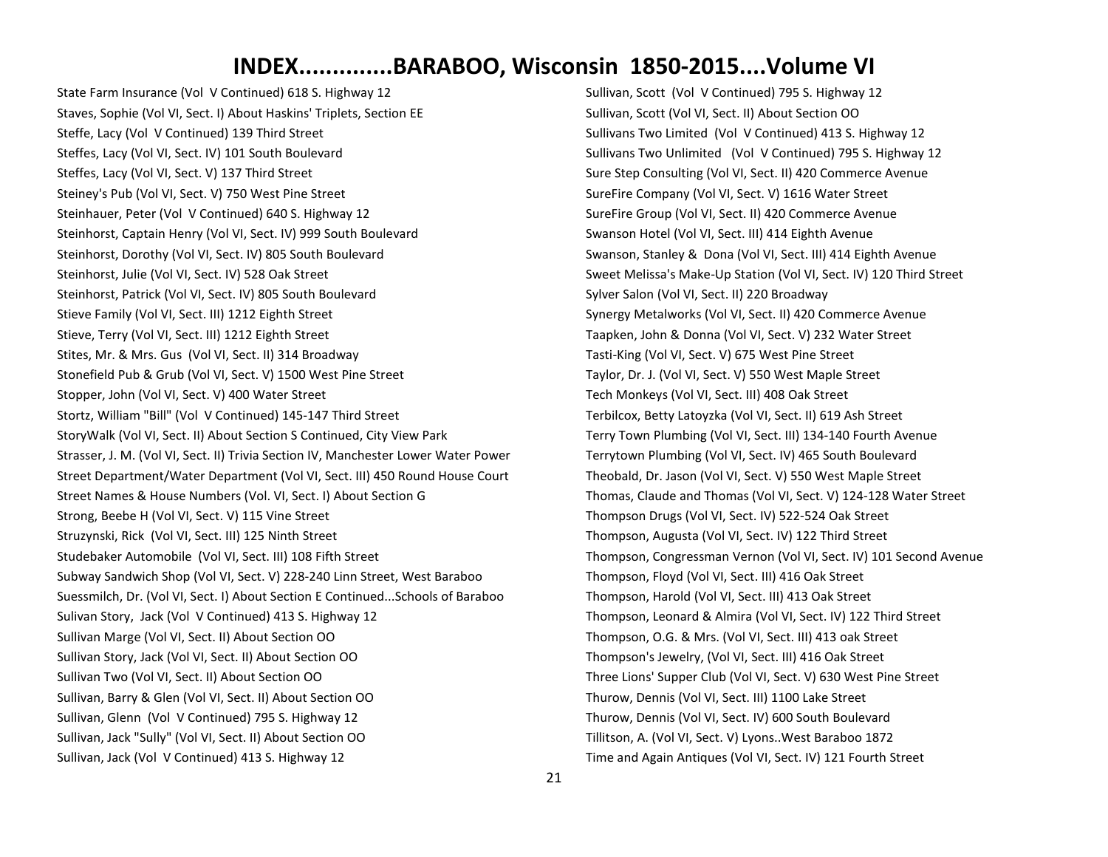State Farm Insurance (Vol V Continued) 618 S. Highway 12 Staves, Sophie (Vol VI, Sect. I) About Haskins' Triplets, Section EE Steffe, Lacy (Vol V Continued) 139 Third Street Steffes, Lacy (Vol VI, Sect. IV) 101 South Boulevard Steffes, Lacy (Vol VI, Sect. V) 137 Third Street Steiney's Pub (Vol VI, Sect. V) 750 West Pine Street Steinhauer, Peter (Vol V Continued) 640 S. Highway 12 Steinhorst, Captain Henry (Vol VI, Sect. IV) 999 South Boulevard Steinhorst, Dorothy (Vol VI, Sect. IV) 805 South Boulevard Steinhorst, Julie (Vol VI, Sect. IV) 528 Oak Street Steinhorst, Patrick (Vol VI, Sect. IV) 805 South Boulevard Stieve Family (Vol VI, Sect. III) 1212 Eighth Street Stieve, Terry (Vol VI, Sect. III) 1212 Eighth Street Stites, Mr. & Mrs. Gus (Vol VI, Sect. II) 314 Broadway Stonefield Pub & Grub (Vol VI, Sect. V) 1500 West Pine Street Stopper, John (Vol VI, Sect. V) 400 Water Street Stortz, William "Bill" (Vol V Continued) 145-147 Third Street StoryWalk (Vol VI, Sect. II) About Section S Continued, City View Park Strasser, J. M. (Vol VI, Sect. II) Trivia Section IV, Manchester Lower Water Power Street Department/Water Department (Vol VI, Sect. III) 450 Round House Court Street Names & House Numbers (Vol. VI, Sect. I) About Section G Strong, Beebe H (Vol VI, Sect. V) 115 Vine Street Struzynski, Rick (Vol VI, Sect. III) 125 Ninth Street Studebaker Automobile (Vol VI, Sect. III) 108 Fifth Street Subway Sandwich Shop (Vol VI, Sect. V) 228-240 Linn Street, West Baraboo Suessmilch, Dr. (Vol VI, Sect. I) About Section E Continued...Schools of Baraboo Sulivan Story, Jack (Vol V Continued) 413 S. Highway 12 Sullivan Marge (Vol VI, Sect. II) About Section OO Sullivan Story, Jack (Vol VI, Sect. II) About Section OO Sullivan Two (Vol VI, Sect. II) About Section OO Sullivan, Barry & Glen (Vol VI, Sect. II) About Section OO Sullivan, Glenn (Vol V Continued) 795 S. Highway 12 Sullivan, Jack "Sully" (Vol VI, Sect. II) About Section OO Sullivan, Jack (Vol V Continued) 413 S. Highway 12

Sullivan, Scott (Vol V Continued) 795 S. Highway 12 Sullivan, Scott (Vol VI, Sect. II) About Section OO Sullivans Two Limited (Vol V Continued) 413 S. Highway 12 Sullivans Two Unlimited (Vol V Continued) 795 S. Highway 12 Sure Step Consulting (Vol VI, Sect. II) 420 Commerce Avenue SureFire Company (Vol VI, Sect. V) 1616 Water Street SureFire Group (Vol VI, Sect. II) 420 Commerce Avenue Swanson Hotel (Vol VI, Sect. III) 414 Eighth Avenue Swanson, Stanley & Dona (Vol VI, Sect. III) 414 Eighth Avenue Sweet Melissa's Make-Up Station (Vol VI, Sect. IV) 120 Third Street Sylver Salon (Vol VI, Sect. II) 220 Broadway Synergy Metalworks (Vol VI, Sect. II) 420 Commerce Avenue Taapken, John & Donna (Vol VI, Sect. V) 232 Water Street Tasti-King (Vol VI, Sect. V) 675 West Pine Street Taylor, Dr. J. (Vol VI, Sect. V) 550 West Maple Street Tech Monkeys (Vol VI, Sect. III) 408 Oak Street Terbilcox, Betty Latoyzka (Vol VI, Sect. II) 619 Ash Street Terry Town Plumbing (Vol VI, Sect. III) 134-140 Fourth Avenue Terrytown Plumbing (Vol VI, Sect. IV) 465 South Boulevard Theobald, Dr. Jason (Vol VI, Sect. V) 550 West Maple Street Thomas, Claude and Thomas (Vol VI, Sect. V) 124-128 Water Street Thompson Drugs (Vol VI, Sect. IV) 522-524 Oak Street Thompson, Augusta (Vol VI, Sect. IV) 122 Third Street Thompson, Congressman Vernon (Vol VI, Sect. IV) 101 Second Avenue Thompson, Floyd (Vol VI, Sect. III) 416 Oak Street Thompson, Harold (Vol VI, Sect. III) 413 Oak Street Thompson, Leonard & Almira (Vol VI, Sect. IV) 122 Third Street Thompson, O.G. & Mrs. (Vol VI, Sect. III) 413 oak Street Thompson's Jewelry, (Vol VI, Sect. III) 416 Oak Street Three Lions' Supper Club (Vol VI, Sect. V) 630 West Pine Street Thurow, Dennis (Vol VI, Sect. III) 1100 Lake Street Thurow, Dennis (Vol VI, Sect. IV) 600 South Boulevard Tillitson, A. (Vol VI, Sect. V) Lyons..West Baraboo 1872 Time and Again Antiques (Vol VI, Sect. IV) 121 Fourth Street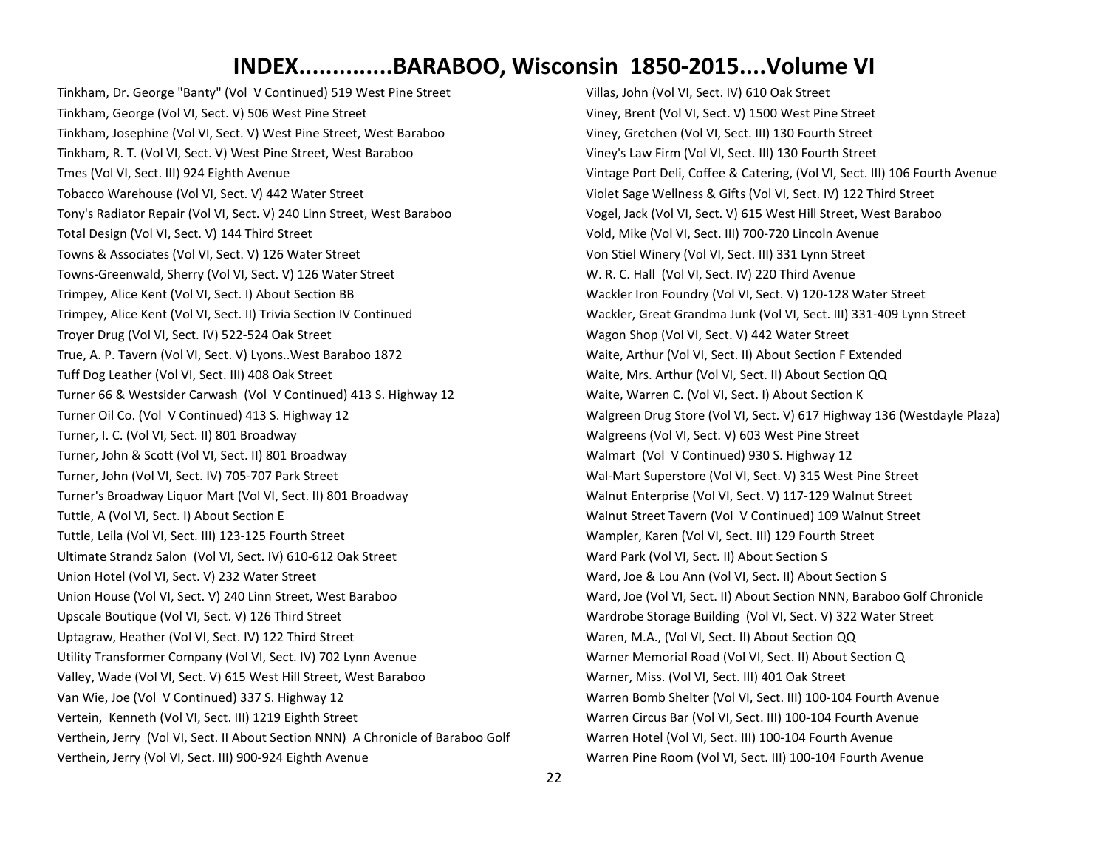Tinkham, Dr. George "Banty" (Vol V Continued) 519 West Pine Street Tinkham, George (Vol VI, Sect. V) 506 West Pine Street Tinkham, Josephine (Vol VI, Sect. V) West Pine Street, West Baraboo Tinkham, R. T. (Vol VI, Sect. V) West Pine Street, West Baraboo Tmes (Vol VI, Sect. III) 924 Eighth Avenue Tobacco Warehouse (Vol VI, Sect. V) 442 Water Street Tony's Radiator Repair (Vol VI, Sect. V) 240 Linn Street, West Baraboo Total Design (Vol VI, Sect. V) 144 Third Street Towns & Associates (Vol VI, Sect. V) 126 Water Street Towns-Greenwald, Sherry (Vol VI, Sect. V) 126 Water Street Trimpey, Alice Kent (Vol VI, Sect. I) About Section BB Trimpey, Alice Kent (Vol VI, Sect. II) Trivia Section IV Continued Troyer Drug (Vol VI, Sect. IV) 522-524 Oak Street True, A. P. Tavern (Vol VI, Sect. V) Lyons..West Baraboo 1872 Tuff Dog Leather (Vol VI, Sect. III) 408 Oak Street Turner 66 & Westsider Carwash (Vol V Continued) 413 S. Highway 12 Turner Oil Co. (Vol V Continued) 413 S. Highway 12 Turner, I. C. (Vol VI, Sect. II) 801 Broadway Turner, John & Scott (Vol VI, Sect. II) 801 Broadway Turner, John (Vol VI, Sect. IV) 705-707 Park Street Turner's Broadway Liquor Mart (Vol VI, Sect. II) 801 Broadway Tuttle, A (Vol VI, Sect. I) About Section E Tuttle, Leila (Vol VI, Sect. III) 123-125 Fourth Street Ultimate Strandz Salon (Vol VI, Sect. IV) 610-612 Oak Street Union Hotel (Vol VI, Sect. V) 232 Water Street Union House (Vol VI, Sect. V) 240 Linn Street, West Baraboo Upscale Boutique (Vol VI, Sect. V) 126 Third Street Uptagraw, Heather (Vol VI, Sect. IV) 122 Third Street Utility Transformer Company (Vol VI, Sect. IV) 702 Lynn Avenue Valley, Wade (Vol VI, Sect. V) 615 West Hill Street, West Baraboo Van Wie, Joe (Vol V Continued) 337 S. Highway 12 Vertein, Kenneth (Vol VI, Sect. III) 1219 Eighth Street Verthein, Jerry (Vol VI, Sect. II About Section NNN) A Chronicle of Baraboo Golf Verthein, Jerry (Vol VI, Sect. III) 900-924 Eighth Avenue

Villas, John (Vol VI, Sect. IV) 610 Oak Street Viney, Brent (Vol VI, Sect. V) 1500 West Pine Street Viney, Gretchen (Vol VI, Sect. III) 130 Fourth Street Viney's Law Firm (Vol VI, Sect. III) 130 Fourth Street Vintage Port Deli, Coffee & Catering, (Vol VI, Sect. III) 106 Fourth Avenue Violet Sage Wellness & Gifts (Vol VI, Sect. IV) 122 Third Street Vogel, Jack (Vol VI, Sect. V) 615 West Hill Street, West Baraboo Vold, Mike (Vol VI, Sect. III) 700-720 Lincoln Avenue Von Stiel Winery (Vol VI, Sect. III) 331 Lynn Street W. R. C. Hall (Vol VI, Sect. IV) 220 Third Avenue Wackler Iron Foundry (Vol VI, Sect. V) 120-128 Water Street Wackler, Great Grandma Junk (Vol VI, Sect. III) 331-409 Lynn Street Wagon Shop (Vol VI, Sect. V) 442 Water Street Waite, Arthur (Vol VI, Sect. II) About Section F Extended Waite, Mrs. Arthur (Vol VI, Sect. II) About Section QQ Waite, Warren C. (Vol VI, Sect. I) About Section K Walgreen Drug Store (Vol VI, Sect. V) 617 Highway 136 (Westdayle Plaza) Walgreens (Vol VI, Sect. V) 603 West Pine Street Walmart (Vol V Continued) 930 S. Highway 12 Wal-Mart Superstore (Vol VI, Sect. V) 315 West Pine Street Walnut Enterprise (Vol VI, Sect. V) 117-129 Walnut Street Walnut Street Tavern (Vol V Continued) 109 Walnut Street Wampler, Karen (Vol VI, Sect. III) 129 Fourth Street Ward Park (Vol VI, Sect. II) About Section S Ward, Joe & Lou Ann (Vol VI, Sect. II) About Section S Ward, Joe (Vol VI, Sect. II) About Section NNN, Baraboo Golf Chronicle Wardrobe Storage Building (Vol VI, Sect. V) 322 Water Street Waren, M.A., (Vol VI, Sect. II) About Section QQ Warner Memorial Road (Vol VI, Sect. II) About Section Q Warner, Miss. (Vol VI, Sect. III) 401 Oak Street Warren Bomb Shelter (Vol VI, Sect. III) 100-104 Fourth Avenue Warren Circus Bar (Vol VI, Sect. III) 100-104 Fourth Avenue Warren Hotel (Vol VI, Sect. III) 100-104 Fourth Avenue Warren Pine Room (Vol VI, Sect. III) 100-104 Fourth Avenue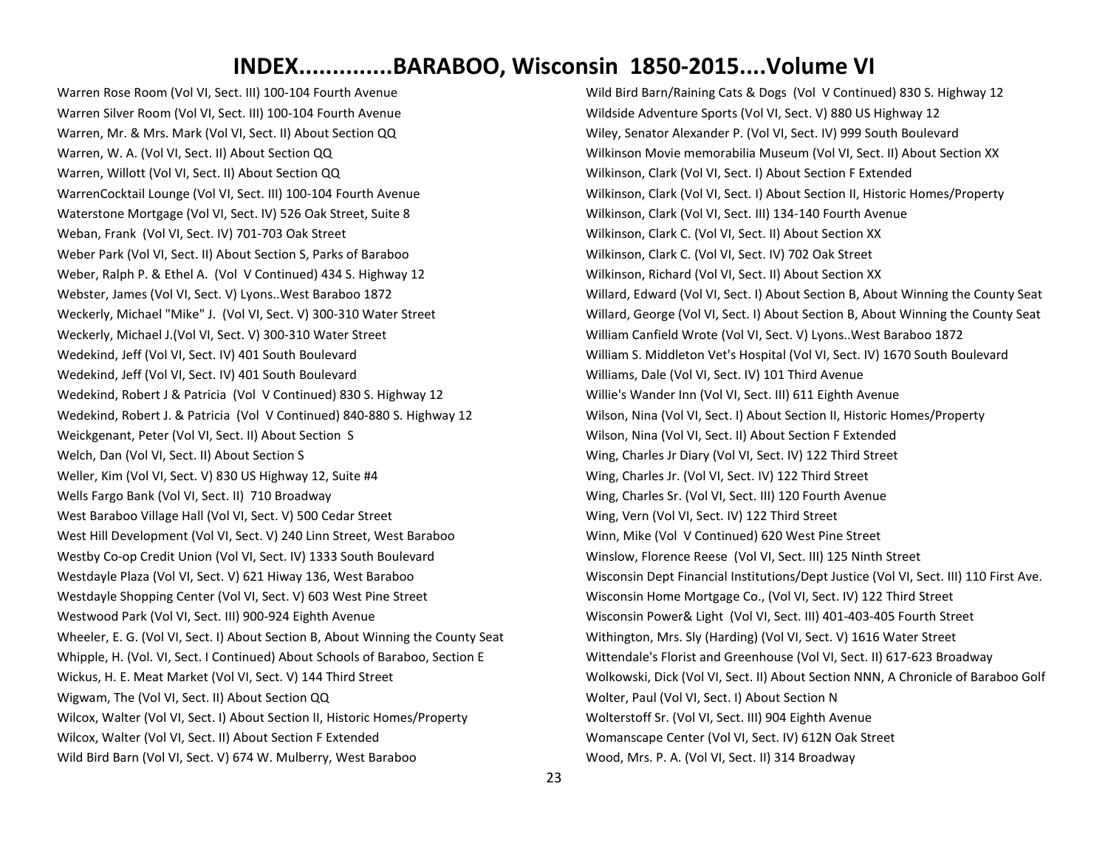Warren Rose Room (Vol VI, Sect. III) 100-104 Fourth Avenue Warren Silver Room (Vol VI, Sect. III) 100-104 Fourth Avenue Warren, Mr. & Mrs. Mark (Vol VI, Sect. II) About Section QQ Warren, W. A. (Vol VI, Sect. II) About Section QQ Warren, Willott (Vol VI, Sect. II) About Section QQ WarrenCocktail Lounge (Vol VI, Sect. III) 100-104 Fourth Avenue Waterstone Mortgage (Vol VI, Sect. IV) 526 Oak Street, Suite 8 Weban, Frank (Vol VI, Sect. IV) 701-703 Oak Street Weber Park (Vol VI, Sect. II) About Section S, Parks of Baraboo Weber, Ralph P. & Ethel A. (Vol V Continued) 434 S. Highway 12 Webster, James (Vol VI, Sect. V) Lyons..West Baraboo 1872 Weckerly, Michael "Mike" J. (Vol VI, Sect. V) 300-310 Water Street Weckerly, Michael J.(Vol VI, Sect. V) 300-310 Water Street Wedekind, Jeff (Vol VI, Sect. IV) 401 South Boulevard Wedekind, Jeff (Vol VI, Sect. IV) 401 South Boulevard Wedekind, Robert J & Patricia (Vol V Continued) 830 S. Highway 12 Wedekind, Robert J. & Patricia (Vol V Continued) 840-880 S. Highway 12 Weickgenant, Peter (Vol VI, Sect. II) About Section S Welch, Dan (Vol VI, Sect. II) About Section S Weller, Kim (Vol VI, Sect. V) 830 US Highway 12, Suite #4 Wells Fargo Bank (Vol VI, Sect. II) 710 Broadway West Baraboo Village Hall (Vol VI, Sect. V) 500 Cedar Street West Hill Development (Vol VI, Sect. V) 240 Linn Street, West Baraboo Westby Co-op Credit Union (Vol VI, Sect. IV) 1333 South Boulevard Westdayle Plaza (Vol VI, Sect. V) 621 Hiway 136, West Baraboo Westdayle Shopping Center (Vol VI, Sect. V) 603 West Pine Street Westwood Park (Vol VI, Sect. III) 900-924 Eighth Avenue Wheeler, E. G. (Vol VI, Sect. I) About Section B, About Winning the County Seat Whipple, H. (Vol. VI, Sect. I Continued) About Schools of Baraboo, Section E Wickus, H. E. Meat Market (Vol VI, Sect. V) 144 Third Street Wigwam, The (Vol VI, Sect. II) About Section QQ Wilcox, Walter (Vol VI, Sect. I) About Section II, Historic Homes/Property Wilcox, Walter (Vol VI, Sect. II) About Section F Extended Wild Bird Barn (Vol VI, Sect. V) 674 W. Mulberry, West Baraboo

Wild Bird Barn/Raining Cats & Dogs (Vol V Continued) 830 S. Highway 12 Wildside Adventure Sports (Vol VI, Sect. V) 880 US Highway 12 Wiley, Senator Alexander P. (Vol VI, Sect. IV) 999 South Boulevard Wilkinson Movie memorabilia Museum (Vol VI, Sect. II) About Section XX Wilkinson, Clark (Vol VI, Sect. I) About Section F Extended Wilkinson, Clark (Vol VI, Sect. I) About Section II, Historic Homes/Property Wilkinson, Clark (Vol VI, Sect. III) 134-140 Fourth Avenue Wilkinson, Clark C. (Vol VI, Sect. II) About Section XX Wilkinson, Clark C. (Vol VI, Sect. IV) 702 Oak Street Wilkinson, Richard (Vol VI, Sect. II) About Section XX Willard, Edward (Vol VI, Sect. I) About Section B, About Winning the County Seat Willard, George (Vol VI, Sect. I) About Section B, About Winning the County Seat William Canfield Wrote (Vol VI, Sect. V) Lyons..West Baraboo 1872 William S. Middleton Vet's Hospital (Vol VI, Sect. IV) 1670 South Boulevard Williams, Dale (Vol VI, Sect. IV) 101 Third Avenue Willie's Wander Inn (Vol VI, Sect. III) 611 Eighth Avenue Wilson, Nina (Vol VI, Sect. I) About Section II, Historic Homes/Property Wilson, Nina (Vol VI, Sect. II) About Section F Extended Wing, Charles Jr Diary (Vol VI, Sect. IV) 122 Third Street Wing, Charles Jr. (Vol VI, Sect. IV) 122 Third Street Wing, Charles Sr. (Vol VI, Sect. III) 120 Fourth Avenue Wing, Vern (Vol VI, Sect. IV) 122 Third Street Winn, Mike (Vol V Continued) 620 West Pine Street Winslow, Florence Reese (Vol VI, Sect. III) 125 Ninth Street Wisconsin Dept Financial Institutions/Dept Justice (Vol VI, Sect. III) 110 First Ave. Wisconsin Home Mortgage Co., (Vol VI, Sect. IV) 122 Third Street Wisconsin Power& Light (Vol VI, Sect. III) 401-403-405 Fourth Street Withington, Mrs. Sly (Harding) (Vol VI, Sect. V) 1616 Water Street Wittendale's Florist and Greenhouse (Vol VI, Sect. II) 617-623 Broadway Wolkowski, Dick (Vol VI, Sect. II) About Section NNN, A Chronicle of Baraboo Golf Wolter, Paul (Vol VI, Sect. I) About Section N Wolterstoff Sr. (Vol VI, Sect. III) 904 Eighth Avenue Womanscape Center (Vol VI, Sect. IV) 612N Oak Street Wood, Mrs. P. A. (Vol VI, Sect. II) 314 Broadway